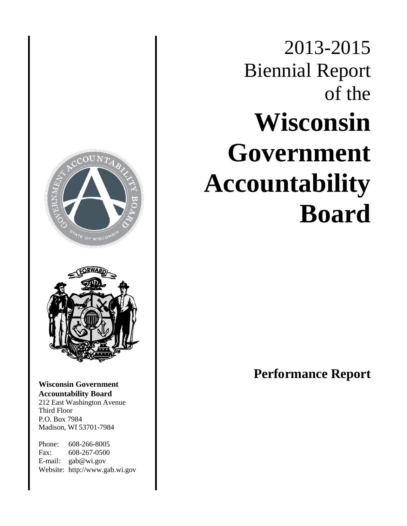# $\tau_{\varepsilon}$  or wisc<sup>c</sup> **Wisconsin Government Accountability Board** 212 East Washington Avenue Third Floor P.O. Box 7984 Madison, WI 53701-7984 Phone: 608-266-8005

Fax: 608-267-0500 E-mail: gab@wi.gov Website: http://www.gab.wi.gov

# 2013-2015 Biennial Report of the **Wisconsin Government Accountability Board**

**Performance Report**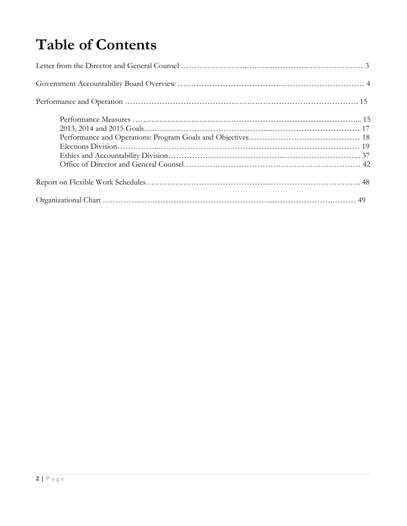# **Table of Contents**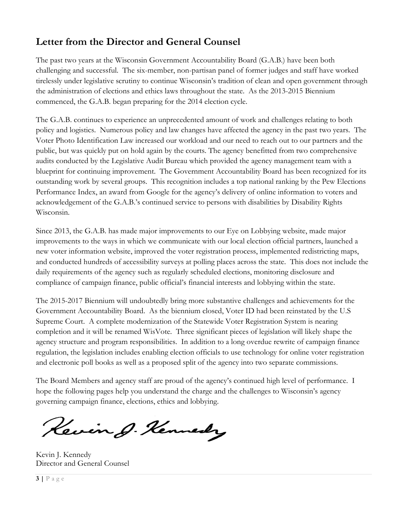# **Letter from the Director and General Counsel**

The past two years at the Wisconsin Government Accountability Board (G.A.B.) have been both challenging and successful. The six-member, non-partisan panel of former judges and staff have worked tirelessly under legislative scrutiny to continue Wisconsin's tradition of clean and open government through the administration of elections and ethics laws throughout the state. As the 2013-2015 Biennium commenced, the G.A.B. began preparing for the 2014 election cycle.

The G.A.B. continues to experience an unprecedented amount of work and challenges relating to both policy and logistics. Numerous policy and law changes have affected the agency in the past two years. The Voter Photo Identification Law increased our workload and our need to reach out to our partners and the public, but was quickly put on hold again by the courts. The agency benefitted from two comprehensive audits conducted by the Legislative Audit Bureau which provided the agency management team with a blueprint for continuing improvement. The Government Accountability Board has been recognized for its outstanding work by several groups. This recognition includes a top national ranking by the Pew Elections Performance Index, an award from Google for the agency's delivery of online information to voters and acknowledgement of the G.A.B.'s continued service to persons with disabilities by Disability Rights Wisconsin.

Since 2013, the G.A.B. has made major improvements to our Eye on Lobbying website, made major improvements to the ways in which we communicate with our local election official partners, launched a new voter information website, improved the voter registration process, implemented redistricting maps, and conducted hundreds of accessibility surveys at polling places across the state. This does not include the daily requirements of the agency such as regularly scheduled elections, monitoring disclosure and compliance of campaign finance, public official's financial interests and lobbying within the state.

The 2015-2017 Biennium will undoubtedly bring more substantive challenges and achievements for the Government Accountability Board. As the biennium closed, Voter ID had been reinstated by the U.S Supreme Court. A complete modernization of the Statewide Voter Registration System is nearing completion and it will be renamed WisVote. Three significant pieces of legislation will likely shape the agency structure and program responsibilities. In addition to a long overdue rewrite of campaign finance regulation, the legislation includes enabling election officials to use technology for online voter registration and electronic poll books as well as a proposed split of the agency into two separate commissions.

The Board Members and agency staff are proud of the agency's continued high level of performance. I hope the following pages help you understand the charge and the challenges to Wisconsin's agency governing campaign finance, elections, ethics and lobbying.

Kevin J. Kennedy

Kevin J. Kennedy Director and General Counsel

**3 |** Page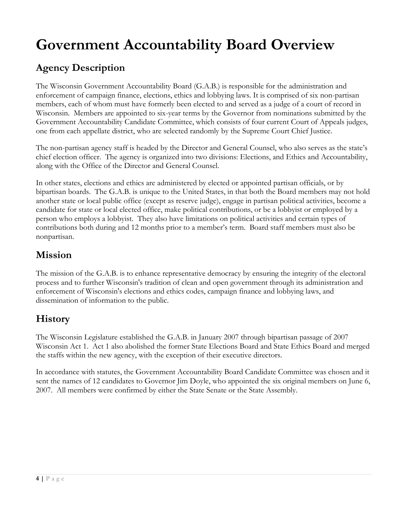# **Government Accountability Board Overview**

# **Agency Description**

The Wisconsin Government Accountability Board (G.A.B.) is responsible for the administration and enforcement of campaign finance, elections, ethics and lobbying laws. It is comprised of six non-partisan members, each of whom must have formerly been elected to and served as a judge of a court of record in Wisconsin. Members are appointed to six-year terms by the Governor from nominations submitted by the Government Accountability Candidate Committee, which consists of four current Court of Appeals judges, one from each appellate district, who are selected randomly by the Supreme Court Chief Justice.

The non-partisan agency staff is headed by the Director and General Counsel, who also serves as the state's chief election officer. The agency is organized into two divisions: Elections, and Ethics and Accountability, along with the Office of the Director and General Counsel.

In other states, elections and ethics are administered by elected or appointed partisan officials, or by bipartisan boards. The G.A.B. is unique to the United States, in that both the Board members may not hold another state or local public office (except as reserve judge), engage in partisan political activities, become a candidate for state or local elected office, make political contributions, or be a lobbyist or employed by a person who employs a lobbyist. They also have limitations on political activities and certain types of contributions both during and 12 months prior to a member's term. Board staff members must also be nonpartisan.

## **Mission**

The mission of the G.A.B. is to enhance representative democracy by ensuring the integrity of the electoral process and to further Wisconsin's tradition of clean and open government through its administration and enforcement of Wisconsin's elections and ethics codes, campaign finance and lobbying laws, and dissemination of information to the public.

# **History**

The Wisconsin Legislature established the G.A.B. in January 2007 through bipartisan passage of 2007 Wisconsin Act 1. Act 1 also abolished the former State Elections Board and State Ethics Board and merged the staffs within the new agency, with the exception of their executive directors.

In accordance with statutes, the Government Accountability Board Candidate Committee was chosen and it sent the names of 12 candidates to Governor Jim Doyle, who appointed the six original members on June 6, 2007. All members were confirmed by either the State Senate or the State Assembly.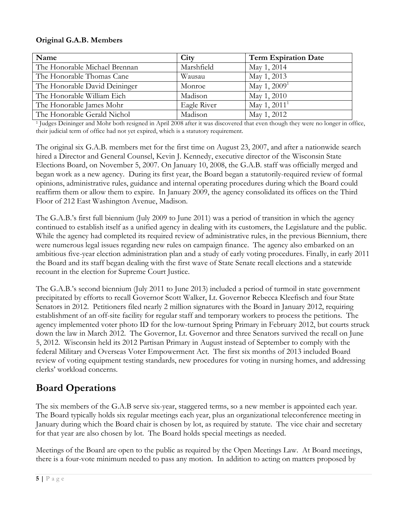#### **Original G.A.B. Members**

| Name                          | City        | <b>Term Expiration Date</b> |
|-------------------------------|-------------|-----------------------------|
| The Honorable Michael Brennan | Marshfield  | May 1, 2014                 |
| The Honorable Thomas Cane     | Wausau      | May 1, 2013                 |
| The Honorable David Deininger | Monroe      | May 1, $2009^1$             |
| The Honorable William Eich    | Madison     | May 1, 2010                 |
| The Honorable James Mohr      | Eagle River | May 1, $2011^1$             |
| The Honorable Gerald Nichol   | Madison     | May 1, 2012                 |

<sup>1</sup> Judges Deininger and Mohr both resigned in April 2008 after it was discovered that even though they were no longer in office, their judicial term of office had not yet expired, which is a statutory requirement.

The original six G.A.B. members met for the first time on August 23, 2007, and after a nationwide search hired a Director and General Counsel, Kevin J. Kennedy, executive director of the Wisconsin State Elections Board, on November 5, 2007. On January 10, 2008, the G.A.B. staff was officially merged and began work as a new agency. During its first year, the Board began a statutorily-required review of formal opinions, administrative rules, guidance and internal operating procedures during which the Board could reaffirm them or allow them to expire. In January 2009, the agency consolidated its offices on the Third Floor of 212 East Washington Avenue, Madison.

The G.A.B.'s first full biennium (July 2009 to June 2011) was a period of transition in which the agency continued to establish itself as a unified agency in dealing with its customers, the Legislature and the public. While the agency had completed its required review of administrative rules, in the previous Biennium, there were numerous legal issues regarding new rules on campaign finance. The agency also embarked on an ambitious five-year election administration plan and a study of early voting procedures. Finally, in early 2011 the Board and its staff began dealing with the first wave of State Senate recall elections and a statewide recount in the election for Supreme Court Justice.

The G.A.B.'s second biennium (July 2011 to June 2013) included a period of turmoil in state government precipitated by efforts to recall Governor Scott Walker, Lt. Governor Rebecca Kleefisch and four State Senators in 2012. Petitioners filed nearly 2 million signatures with the Board in January 2012, requiring establishment of an off-site facility for regular staff and temporary workers to process the petitions. The agency implemented voter photo ID for the low-turnout Spring Primary in February 2012, but courts struck down the law in March 2012. The Governor, Lt. Governor and three Senators survived the recall on June 5, 2012. Wisconsin held its 2012 Partisan Primary in August instead of September to comply with the federal Military and Overseas Voter Empowerment Act. The first six months of 2013 included Board review of voting equipment testing standards, new procedures for voting in nursing homes, and addressing clerks' workload concerns.

## **Board Operations**

The six members of the G.A.B serve six-year, staggered terms, so a new member is appointed each year. The Board typically holds six regular meetings each year, plus an organizational teleconference meeting in January during which the Board chair is chosen by lot, as required by statute. The vice chair and secretary for that year are also chosen by lot. The Board holds special meetings as needed.

Meetings of the Board are open to the public as required by the Open Meetings Law. At Board meetings, there is a four-vote minimum needed to pass any motion. In addition to acting on matters proposed by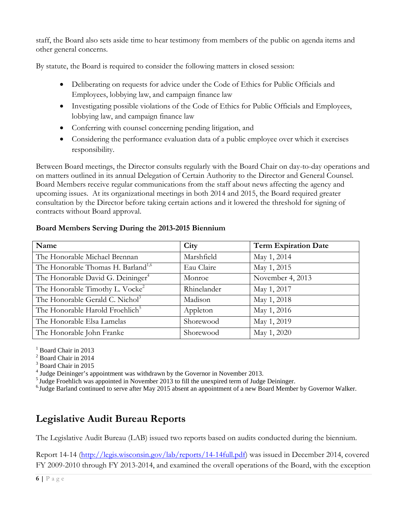staff, the Board also sets aside time to hear testimony from members of the public on agenda items and other general concerns.

By statute, the Board is required to consider the following matters in closed session:

- Deliberating on requests for advice under the Code of Ethics for Public Officials and Employees, lobbying law, and campaign finance law
- Investigating possible violations of the Code of Ethics for Public Officials and Employees, lobbying law, and campaign finance law
- Conferring with counsel concerning pending litigation, and
- Considering the performance evaluation data of a public employee over which it exercises responsibility.

Between Board meetings, the Director consults regularly with the Board Chair on day-to-day operations and on matters outlined in its annual Delegation of Certain Authority to the Director and General Counsel. Board Members receive regular communications from the staff about news affecting the agency and upcoming issues. At its organizational meetings in both 2014 and 2015, the Board required greater consultation by the Director before taking certain actions and it lowered the threshold for signing of contracts without Board approval.

#### **Board Members Serving During the 2013-2015 Biennium**

| Name                                           | City        | <b>Term Expiration Date</b> |
|------------------------------------------------|-------------|-----------------------------|
| The Honorable Michael Brennan                  | Marshfield  | May 1, 2014                 |
| The Honorable Thomas H. Barland <sup>1,6</sup> | Eau Claire  | May 1, 2015                 |
| The Honorable David G. Deininger <sup>4</sup>  | Monroe      | November 4, 2013            |
| The Honorable Timothy L. Vocke <sup>2</sup>    | Rhinelander | May 1, 2017                 |
| The Honorable Gerald C. Nichol <sup>3</sup>    | Madison     | May 1, 2018                 |
| The Honorable Harold Froehlich <sup>5</sup>    | Appleton    | May 1, 2016                 |
| The Honorable Elsa Lamelas                     | Shorewood   | May 1, 2019                 |
| The Honorable John Franke                      | Shorewood   | May 1, 2020                 |

<sup>1</sup> Board Chair in 2013

- <sup>2</sup> Board Chair in 2014
- <sup>3</sup> Board Chair in 2015

<sup>4</sup> Judge Deininger's appointment was withdrawn by the Governor in November 2013.

<sup>5</sup> Judge Froehlich was appointed in November 2013 to fill the unexpired term of Judge Deininger.<br><sup>6</sup> Judge Barland continued to serve after May 2015 absent an appointment of a new Board Member by Governor Walker.

# **Legislative Audit Bureau Reports**

The Legislative Audit Bureau (LAB) issued two reports based on audits conducted during the biennium.

Report 14-14 [\(http://legis.wisconsin.gov/lab/reports/14-14full.pdf\)](http://legis.wisconsin.gov/lab/reports/14-14full.pdf) was issued in December 2014, covered FY 2009-2010 through FY 2013-2014, and examined the overall operations of the Board, with the exception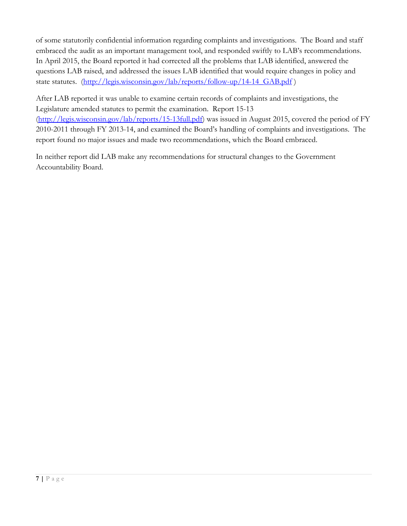of some statutorily confidential information regarding complaints and investigations. The Board and staff embraced the audit as an important management tool, and responded swiftly to LAB's recommendations. In April 2015, the Board reported it had corrected all the problems that LAB identified, answered the questions LAB raised, and addressed the issues LAB identified that would require changes in policy and state statutes. (http://legis.wisconsin.gov/lab/reports/follow-up/14-14 GAB.pdf)

After LAB reported it was unable to examine certain records of complaints and investigations, the Legislature amended statutes to permit the examination. Report 15-13 [\(http://legis.wisconsin.gov/lab/reports/15-13full.pdf\)](http://legis.wisconsin.gov/lab/reports/15-13full.pdf) was issued in August 2015, covered the period of FY 2010-2011 through FY 2013-14, and examined the Board's handling of complaints and investigations. The report found no major issues and made two recommendations, which the Board embraced.

In neither report did LAB make any recommendations for structural changes to the Government Accountability Board.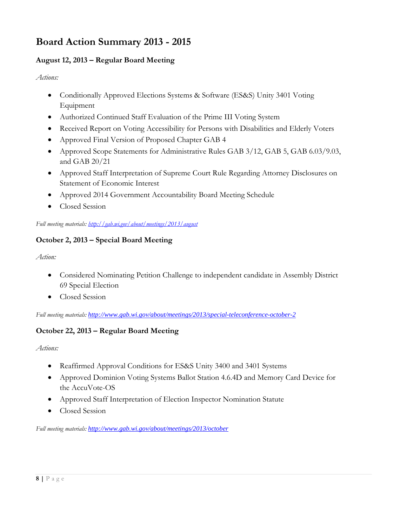# **Board Action Summary 2013 - 2015**

#### **August 12, 2013 – Regular Board Meeting**

*Actions:*

- Conditionally Approved Elections Systems & Software (ES&S) Unity 3401 Voting Equipment
- Authorized Continued Staff Evaluation of the Prime III Voting System
- Received Report on Voting Accessibility for Persons with Disabilities and Elderly Voters
- Approved Final Version of Proposed Chapter GAB 4
- Approved Scope Statements for Administrative Rules GAB 3/12, GAB 5, GAB 6.03/9.03, and GAB 20/21
- Approved Staff Interpretation of Supreme Court Rule Regarding Attorney Disclosures on Statement of Economic Interest
- Approved 2014 Government Accountability Board Meeting Schedule
- Closed Session

*Full meeting materials: <http://gab.wi.gov/about/meetings/2013/august>*

#### **October 2, 2013 – Special Board Meeting**

*Action:*

- Considered Nominating Petition Challenge to independent candidate in Assembly District 69 Special Election
- Closed Session

*Full meeting materials: <http://www.gab.wi.gov/about/meetings/2013/special-teleconference-october-2>*

#### **October 22, 2013 – Regular Board Meeting**

*Actions:*

- Reaffirmed Approval Conditions for ES&S Unity 3400 and 3401 Systems
- Approved Dominion Voting Systems Ballot Station 4.6.4D and Memory Card Device for the AccuVote-OS
- Approved Staff Interpretation of Election Inspector Nomination Statute
- Closed Session

*Full meeting materials: <http://www.gab.wi.gov/about/meetings/2013/october>*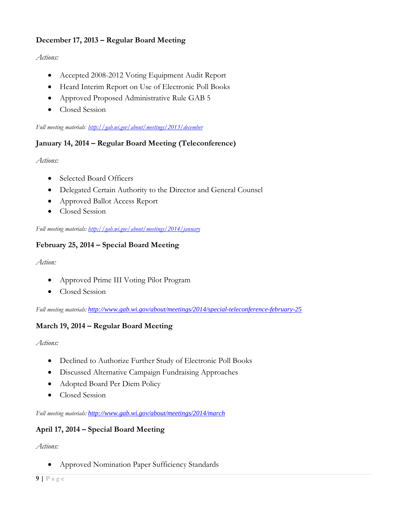#### **December 17, 2013 – Regular Board Meeting**

#### *Actions:*

- Accepted 2008-2012 Voting Equipment Audit Report
- Heard Interim Report on Use of Electronic Poll Books
- Approved Proposed Administrative Rule GAB 5
- Closed Session

*Full meeting materials[: http://gab.wi.gov/about/meetings/2013/december](http://gab.wi.gov/about/meetings/2013/december)*

#### **January 14, 2014 – Regular Board Meeting (Teleconference)**

*Actions:*

- Selected Board Officers
- Delegated Certain Authority to the Director and General Counsel
- Approved Ballot Access Report
- Closed Session

*Full meeting materials[: http://gab.wi.gov/about/meetings/2014/january](http://gab.wi.gov/about/meetings/2014/january)*

#### **February 25, 2014 – Special Board Meeting**

*Action:*

- Approved Prime III Voting Pilot Program
- Closed Session

*Full meeting materials: <http://www.gab.wi.gov/about/meetings/2014/special-teleconference-february-25>*

#### **March 19, 2014 – Regular Board Meeting**

*Actions:*

- Declined to Authorize Further Study of Electronic Poll Books
- Discussed Alternative Campaign Fundraising Approaches
- Adopted Board Per Diem Policy
- Closed Session

*Full meeting materials: <http://www.gab.wi.gov/about/meetings/2014/march>*

#### **April 17, 2014 – Special Board Meeting**

*Actions:*

• Approved Nomination Paper Sufficiency Standards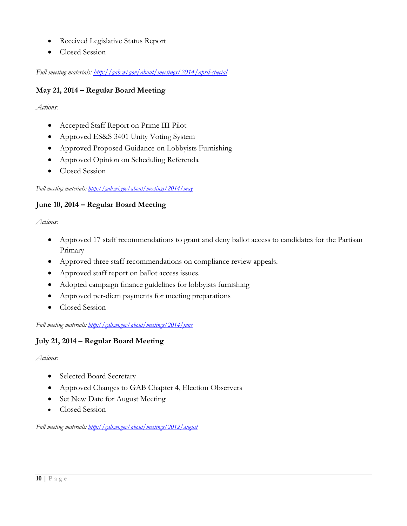- Received Legislative Status Report
- Closed Session

*Full meeting materials:<http://gab.wi.gov/about/meetings/2014/april-special>*

#### **May 21, 2014 – Regular Board Meeting**

*Actions:*

- Accepted Staff Report on Prime III Pilot
- Approved ES&S 3401 Unity Voting System
- Approved Proposed Guidance on Lobbyists Furnishing
- Approved Opinion on Scheduling Referenda
- Closed Session

#### *Full meeting materials: <http://gab.wi.gov/about/meetings/2014/may>*

#### **June 10, 2014 – Regular Board Meeting**

*Actions:*

- Approved 17 staff recommendations to grant and deny ballot access to candidates for the Partisan Primary
- Approved three staff recommendations on compliance review appeals.
- Approved staff report on ballot access issues.
- Adopted campaign finance guidelines for lobbyists furnishing
- Approved per-diem payments for meeting preparations
- Closed Session

*Full meeting materials: <http://gab.wi.gov/about/meetings/2014/june>*

#### **July 21, 2014 – Regular Board Meeting**

*Actions:*

- Selected Board Secretary
- Approved Changes to GAB Chapter 4, Election Observers
- Set New Date for August Meeting
- Closed Session

*Full meeting materials: <http://gab.wi.gov/about/meetings/2012/august>*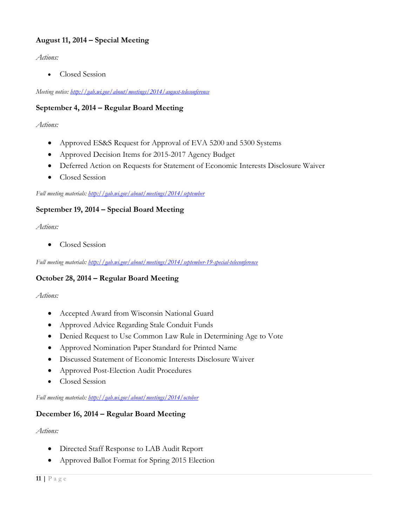#### **August 11, 2014 – Special Meeting**

*Actions:*

• Closed Session

*Meeting notice: <http://gab.wi.gov/about/meetings/2014/august-teleconference>*

#### **September 4, 2014 – Regular Board Meeting**

*Actions:*

- Approved ES&S Request for Approval of EVA 5200 and 5300 Systems
- Approved Decision Items for 2015-2017 Agency Budget
- Deferred Action on Requests for Statement of Economic Interests Disclosure Waiver
- Closed Session

*Full meeting materials[: http://gab.wi.gov/about/meetings/2014/september](http://gab.wi.gov/about/meetings/2014/september)*

#### **September 19, 2014 – Special Board Meeting**

*Actions:*

• Closed Session

*Full meeting materials[: http://gab.wi.gov/about/meetings/2014/september-19-special-teleconference](http://gab.wi.gov/about/meetings/2014/september-19-special-teleconference)*

#### **October 28, 2014 – Regular Board Meeting**

*Actions:*

- Accepted Award from Wisconsin National Guard
- Approved Advice Regarding Stale Conduit Funds
- Denied Request to Use Common Law Rule in Determining Age to Vote
- Approved Nomination Paper Standard for Printed Name
- Discussed Statement of Economic Interests Disclosure Waiver
- Approved Post-Election Audit Procedures
- Closed Session

*Full meeting materials[: http://gab.wi.gov/about/meetings/2014/october](http://gab.wi.gov/about/meetings/2014/october)*

#### **December 16, 2014 – Regular Board Meeting**

*Actions:*

- Directed Staff Response to LAB Audit Report
- Approved Ballot Format for Spring 2015 Election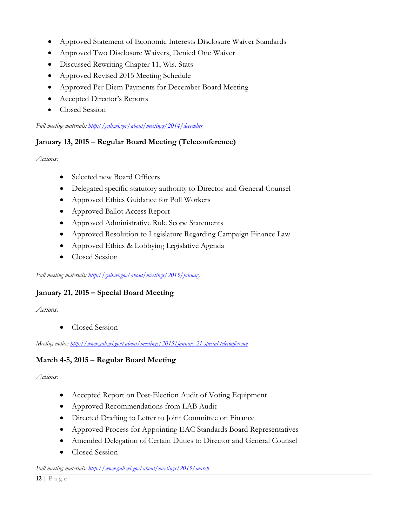- Approved Statement of Economic Interests Disclosure Waiver Standards
- Approved Two Disclosure Waivers, Denied One Waiver
- Discussed Rewriting Chapter 11, Wis. Stats
- Approved Revised 2015 Meeting Schedule
- Approved Per Diem Payments for December Board Meeting
- Accepted Director's Reports
- Closed Session

#### *Full meeting materials[: http://gab.wi.gov/about/meetings/2014/december](http://gab.wi.gov/about/meetings/2014/december)*

#### **January 13, 2015 – Regular Board Meeting (Teleconference)**

*Actions:*

- Selected new Board Officers
- Delegated specific statutory authority to Director and General Counsel
- Approved Ethics Guidance for Poll Workers
- Approved Ballot Access Report
- Approved Administrative Rule Scope Statements
- Approved Resolution to Legislature Regarding Campaign Finance Law
- Approved Ethics & Lobbying Legislative Agenda
- Closed Session

*Full meeting materials[: http://gab.wi.gov/about/meetings/2015/january](http://gab.wi.gov/about/meetings/2015/january)*

#### **January 21, 2015 – Special Board Meeting**

*Actions:*

• Closed Session

*Meeting notice:<http://www.gab.wi.gov/about/meetings/2015/january-21-special-teleconference>*

#### **March 4-5, 2015 – Regular Board Meeting**

*Actions:*

- Accepted Report on Post-Election Audit of Voting Equipment
- Approved Recommendations from LAB Audit
- Directed Drafting to Letter to Joint Committee on Finance
- Approved Process for Appointing EAC Standards Board Representatives
- Amended Delegation of Certain Duties to Director and General Counsel
- Closed Session

*Full meeting materials[: http://www.gab.wi.gov/about/meetings/2015/march](http://www.gab.wi.gov/about/meetings/2015/march)*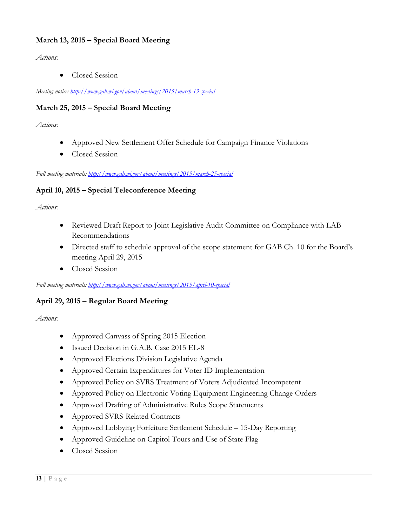#### **March 13, 2015 – Special Board Meeting**

*Actions:*

• Closed Session

*Meeting notice:<http://www.gab.wi.gov/about/meetings/2015/march-13-special>*

#### **March 25, 2015 – Special Board Meeting**

*Actions:*

- Approved New Settlement Offer Schedule for Campaign Finance Violations
- Closed Session

*Full meeting materials: <http://www.gab.wi.gov/about/meetings/2015/march-25-special>*

#### **April 10, 2015 – Special Teleconference Meeting**

*Actions:*

- Reviewed Draft Report to Joint Legislative Audit Committee on Compliance with LAB Recommendations
- Directed staff to schedule approval of the scope statement for GAB Ch. 10 for the Board's meeting April 29, 2015
- Closed Session

*Full meeting materials[: http://www.gab.wi.gov/about/meetings/2015/april-10-special](http://www.gab.wi.gov/about/meetings/2015/april-10-special)*

#### **April 29, 2015 – Regular Board Meeting**

*Actions:*

- Approved Canvass of Spring 2015 Election
- Issued Decision in G.A.B. Case 2015 EL-8
- Approved Elections Division Legislative Agenda
- Approved Certain Expenditures for Voter ID Implementation
- Approved Policy on SVRS Treatment of Voters Adjudicated Incompetent
- Approved Policy on Electronic Voting Equipment Engineering Change Orders
- Approved Drafting of Administrative Rules Scope Statements
- Approved SVRS-Related Contracts
- Approved Lobbying Forfeiture Settlement Schedule 15-Day Reporting
- Approved Guideline on Capitol Tours and Use of State Flag
- Closed Session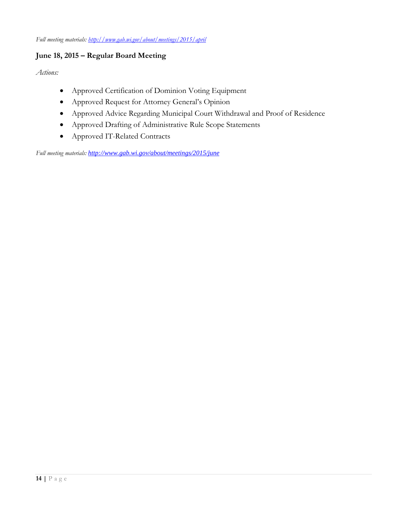#### **June 18, 2015 – Regular Board Meeting**

*Actions:*

- Approved Certification of Dominion Voting Equipment
- Approved Request for Attorney General's Opinion
- Approved Advice Regarding Municipal Court Withdrawal and Proof of Residence
- Approved Drafting of Administrative Rule Scope Statements
- Approved IT-Related Contracts

*Full meeting materials: <http://www.gab.wi.gov/about/meetings/2015/june>*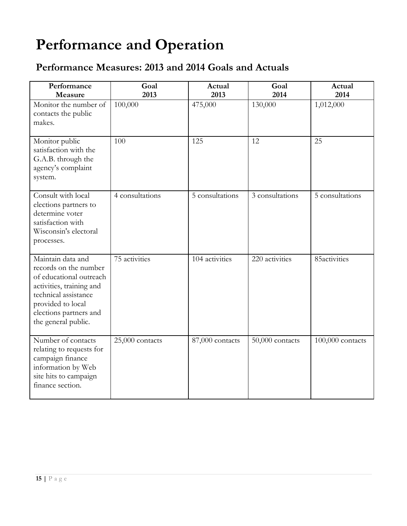# **Performance and Operation**

# **Performance Measures: 2013 and 2014 Goals and Actuals**

| Performance<br>Measure                                                                                                                                                                          | Goal<br>2013    | Actual<br>2013  | Goal<br>2014    | Actual<br>2014     |
|-------------------------------------------------------------------------------------------------------------------------------------------------------------------------------------------------|-----------------|-----------------|-----------------|--------------------|
| Monitor the number of<br>contacts the public<br>makes.                                                                                                                                          | 100,000         | 475,000         | 130,000         | 1,012,000          |
| Monitor public<br>satisfaction with the<br>G.A.B. through the<br>agency's complaint<br>system.                                                                                                  | 100             | 125             | 12              | 25                 |
| Consult with local<br>elections partners to<br>determine voter<br>satisfaction with<br>Wisconsin's electoral<br>processes.                                                                      | 4 consultations | 5 consultations | 3 consultations | 5 consultations    |
| Maintain data and<br>records on the number<br>of educational outreach<br>activities, training and<br>technical assistance<br>provided to local<br>elections partners and<br>the general public. | 75 activities   | 104 activities  | 220 activities  | 85activities       |
| Number of contacts<br>relating to requests for<br>campaign finance<br>information by Web<br>site hits to campaign<br>finance section.                                                           | 25,000 contacts | 87,000 contacts | 50,000 contacts | $100,000$ contacts |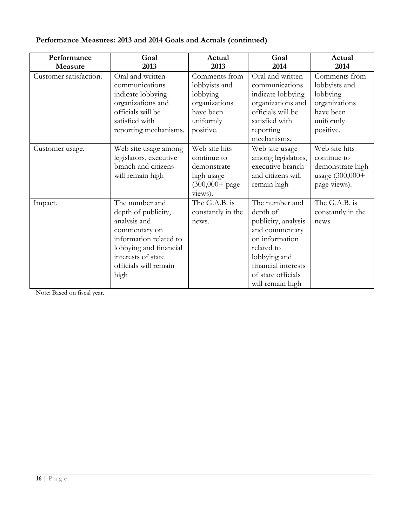|  | Performance Measures: 2013 and 2014 Goals and Actuals (continued) |  |
|--|-------------------------------------------------------------------|--|
|--|-------------------------------------------------------------------|--|

| Performance<br>Measure | Goal<br>2013                                                                                                                                                                      | Actual<br>2013                                                                                     | Goal<br>2014                                                                                                                                                                         | Actual<br>2014                                                                                     |
|------------------------|-----------------------------------------------------------------------------------------------------------------------------------------------------------------------------------|----------------------------------------------------------------------------------------------------|--------------------------------------------------------------------------------------------------------------------------------------------------------------------------------------|----------------------------------------------------------------------------------------------------|
| Customer satisfaction. | Oral and written<br>communications<br>indicate lobbying<br>organizations and<br>officials will be<br>satisfied with<br>reporting mechanisms.                                      | Comments from<br>lobbyists and<br>lobbying<br>organizations<br>have been<br>uniformly<br>positive. | Oral and written<br>communications<br>indicate lobbying<br>organizations and<br>officials will be<br>satisfied with<br>reporting<br>mechanisms.                                      | Comments from<br>lobbyists and<br>lobbying<br>organizations<br>have been<br>uniformly<br>positive. |
| Customer usage.        | Web site usage among<br>legislators, executive<br>branch and citizens<br>will remain high                                                                                         | Web site hits<br>continue to<br>demonstrate<br>high usage<br>$(300,000+$ page<br>views).           | Web site usage<br>among legislators,<br>executive branch<br>and citizens will<br>remain high                                                                                         | Web site hits<br>continue to<br>demonstrate high<br>usage (300,000+<br>page views).                |
| Impact.                | The number and<br>depth of publicity,<br>analysis and<br>commentary on<br>information related to<br>lobbying and financial<br>interests of state<br>officials will remain<br>high | The G.A.B. is<br>constantly in the<br>news.                                                        | The number and<br>depth of<br>publicity, analysis<br>and commentary<br>on information<br>related to<br>lobbying and<br>financial interests<br>of state officials<br>will remain high | The G.A.B. is<br>constantly in the<br>news.                                                        |

Note: Based on fiscal year.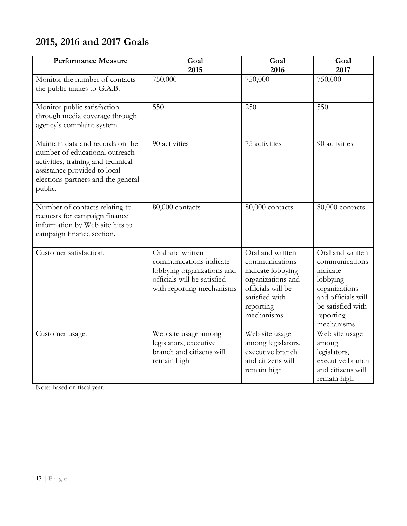# **2015, 2016 and 2017 Goals**

| <b>Performance Measure</b>                                                                                                                                                                | Goal<br>2015                                                                                                                          | Goal<br>2016                                                                                                                                   | Goal<br>2017                                                                                                                                      |
|-------------------------------------------------------------------------------------------------------------------------------------------------------------------------------------------|---------------------------------------------------------------------------------------------------------------------------------------|------------------------------------------------------------------------------------------------------------------------------------------------|---------------------------------------------------------------------------------------------------------------------------------------------------|
| Monitor the number of contacts<br>the public makes to G.A.B.                                                                                                                              | 750,000                                                                                                                               | 750,000                                                                                                                                        | 750,000                                                                                                                                           |
| Monitor public satisfaction<br>through media coverage through<br>agency's complaint system.                                                                                               | 550                                                                                                                                   | 250                                                                                                                                            | 550                                                                                                                                               |
| Maintain data and records on the<br>number of educational outreach<br>activities, training and technical<br>assistance provided to local<br>elections partners and the general<br>public. | 90 activities                                                                                                                         | 75 activities                                                                                                                                  | 90 activities                                                                                                                                     |
| Number of contacts relating to<br>requests for campaign finance<br>information by Web site hits to<br>campaign finance section.                                                           | 80,000 contacts                                                                                                                       | 80,000 contacts                                                                                                                                | 80,000 contacts                                                                                                                                   |
| Customer satisfaction.                                                                                                                                                                    | Oral and written<br>communications indicate<br>lobbying organizations and<br>officials will be satisfied<br>with reporting mechanisms | Oral and written<br>communications<br>indicate lobbying<br>organizations and<br>officials will be<br>satisfied with<br>reporting<br>mechanisms | Oral and written<br>communications<br>indicate<br>lobbying<br>organizations<br>and officials will<br>be satisfied with<br>reporting<br>mechanisms |
| Customer usage.                                                                                                                                                                           | Web site usage among<br>legislators, executive<br>branch and citizens will<br>remain high                                             | Web site usage<br>among legislators,<br>executive branch<br>and citizens will<br>remain high                                                   | Web site usage<br>among<br>legislators,<br>executive branch<br>and citizens will<br>remain high                                                   |

Note: Based on fiscal year.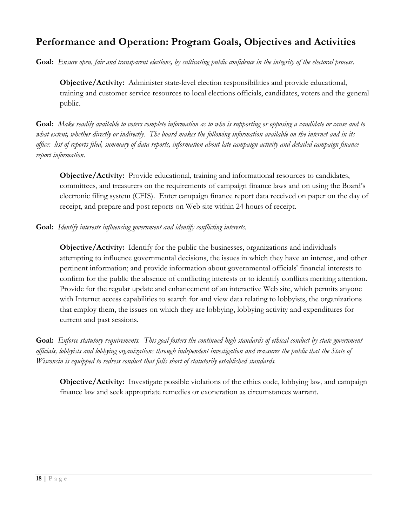# **Performance and Operation: Program Goals, Objectives and Activities**

**Goal:** *Ensure open, fair and transparent elections, by cultivating public confidence in the integrity of the electoral process.* 

**Objective/Activity:** Administer state-level election responsibilities and provide educational, training and customer service resources to local elections officials, candidates, voters and the general public.

**Goal:** *Make readily available to voters complete information as to who is supporting or opposing a candidate or cause and to what extent, whether directly or indirectly. The board makes the following information available on the internet and in its office: list of reports filed, summary of data reports, information about late campaign activity and detailed campaign finance report information.*

**Objective/Activity:** Provide educational, training and informational resources to candidates, committees, and treasurers on the requirements of campaign finance laws and on using the Board's electronic filing system (CFIS). Enter campaign finance report data received on paper on the day of receipt, and prepare and post reports on Web site within 24 hours of receipt.

**Goal:** *Identify interests influencing government and identify conflicting interests.*

**Objective/Activity:** Identify for the public the businesses, organizations and individuals attempting to influence governmental decisions, the issues in which they have an interest, and other pertinent information; and provide information about governmental officials' financial interests to confirm for the public the absence of conflicting interests or to identify conflicts meriting attention. Provide for the regular update and enhancement of an interactive Web site, which permits anyone with Internet access capabilities to search for and view data relating to lobbyists, the organizations that employ them, the issues on which they are lobbying, lobbying activity and expenditures for current and past sessions.

**Goal:** *Enforce statutory requirements. This goal fosters the continued high standards of ethical conduct by state government officials, lobbyists and lobbying organizations through independent investigation and reassures the public that the State of Wisconsin is equipped to redress conduct that falls short of statutorily established standards.*

**Objective/Activity:** Investigate possible violations of the ethics code, lobbying law, and campaign finance law and seek appropriate remedies or exoneration as circumstances warrant.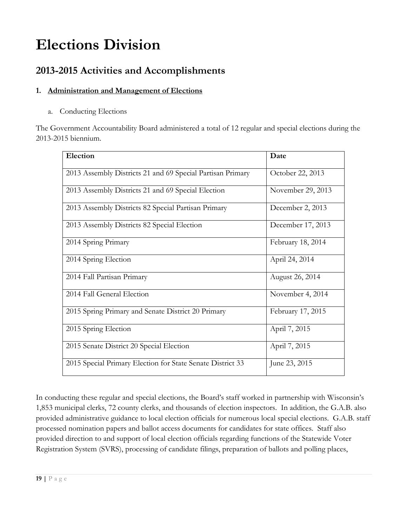# **Elections Division**

## **2013-2015 Activities and Accomplishments**

#### **1. Administration and Management of Elections**

a. Conducting Elections

The Government Accountability Board administered a total of 12 regular and special elections during the 2013-2015 biennium.

| Election                                                   | Date              |
|------------------------------------------------------------|-------------------|
| 2013 Assembly Districts 21 and 69 Special Partisan Primary | October 22, 2013  |
| 2013 Assembly Districts 21 and 69 Special Election         | November 29, 2013 |
| 2013 Assembly Districts 82 Special Partisan Primary        | December 2, 2013  |
| 2013 Assembly Districts 82 Special Election                | December 17, 2013 |
| 2014 Spring Primary                                        | February 18, 2014 |
| 2014 Spring Election                                       | April 24, 2014    |
| 2014 Fall Partisan Primary                                 | August 26, 2014   |
| 2014 Fall General Election                                 | November 4, 2014  |
| 2015 Spring Primary and Senate District 20 Primary         | February 17, 2015 |
| 2015 Spring Election                                       | April 7, 2015     |
| 2015 Senate District 20 Special Election                   | April 7, 2015     |
| 2015 Special Primary Election for State Senate District 33 | June 23, 2015     |

In conducting these regular and special elections, the Board's staff worked in partnership with Wisconsin's 1,853 municipal clerks, 72 county clerks, and thousands of election inspectors. In addition, the G.A.B. also provided administrative guidance to local election officials for numerous local special elections. G.A.B. staff processed nomination papers and ballot access documents for candidates for state offices. Staff also provided direction to and support of local election officials regarding functions of the Statewide Voter Registration System (SVRS), processing of candidate filings, preparation of ballots and polling places,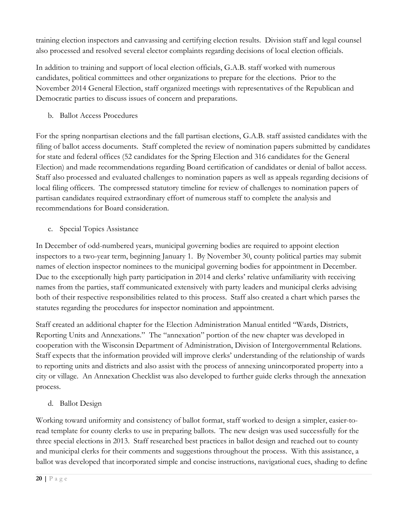training election inspectors and canvassing and certifying election results. Division staff and legal counsel also processed and resolved several elector complaints regarding decisions of local election officials.

In addition to training and support of local election officials, G.A.B. staff worked with numerous candidates, political committees and other organizations to prepare for the elections. Prior to the November 2014 General Election, staff organized meetings with representatives of the Republican and Democratic parties to discuss issues of concern and preparations.

b. Ballot Access Procedures

For the spring nonpartisan elections and the fall partisan elections, G.A.B. staff assisted candidates with the filing of ballot access documents. Staff completed the review of nomination papers submitted by candidates for state and federal offices (52 candidates for the Spring Election and 316 candidates for the General Election) and made recommendations regarding Board certification of candidates or denial of ballot access. Staff also processed and evaluated challenges to nomination papers as well as appeals regarding decisions of local filing officers. The compressed statutory timeline for review of challenges to nomination papers of partisan candidates required extraordinary effort of numerous staff to complete the analysis and recommendations for Board consideration.

c. Special Topics Assistance

In December of odd-numbered years, municipal governing bodies are required to appoint election inspectors to a two-year term, beginning January 1. By November 30, county political parties may submit names of election inspector nominees to the municipal governing bodies for appointment in December. Due to the exceptionally high party participation in 2014 and clerks' relative unfamiliarity with receiving names from the parties, staff communicated extensively with party leaders and municipal clerks advising both of their respective responsibilities related to this process. Staff also created a chart which parses the statutes regarding the procedures for inspector nomination and appointment.

Staff created an additional chapter for the Election Administration Manual entitled "Wards, Districts, Reporting Units and Annexations." The "annexation" portion of the new chapter was developed in cooperation with the Wisconsin Department of Administration, Division of Intergovernmental Relations. Staff expects that the information provided will improve clerks' understanding of the relationship of wards to reporting units and districts and also assist with the process of annexing unincorporated property into a city or village. An Annexation Checklist was also developed to further guide clerks through the annexation process.

d. Ballot Design

Working toward uniformity and consistency of ballot format, staff worked to design a simpler, easier-toread template for county clerks to use in preparing ballots. The new design was used successfully for the three special elections in 2013. Staff researched best practices in ballot design and reached out to county and municipal clerks for their comments and suggestions throughout the process. With this assistance, a ballot was developed that incorporated simple and concise instructions, navigational cues, shading to define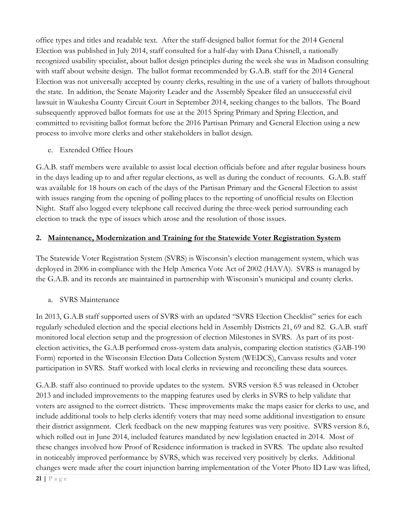office types and titles and readable text. After the staff-designed ballot format for the 2014 General Election was published in July 2014, staff consulted for a half-day with Dana Chisnell, a nationally recognized usability specialist, about ballot design principles during the week she was in Madison consulting with staff about website design. The ballot format recommended by G.A.B. staff for the 2014 General Election was not universally accepted by county clerks, resulting in the use of a variety of ballots throughout the state. In addition, the Senate Majority Leader and the Assembly Speaker filed an unsuccessful civil lawsuit in Waukesha County Circuit Court in September 2014, seeking changes to the ballots. The Board subsequently approved ballot formats for use at the 2015 Spring Primary and Spring Election, and committed to revisiting ballot format before the 2016 Partisan Primary and General Election using a new process to involve more clerks and other stakeholders in ballot design.

e. Extended Office Hours

G.A.B. staff members were available to assist local election officials before and after regular business hours in the days leading up to and after regular elections, as well as during the conduct of recounts. G.A.B. staff was available for 18 hours on each of the days of the Partisan Primary and the General Election to assist with issues ranging from the opening of polling places to the reporting of unofficial results on Election Night. Staff also logged every telephone call received during the three-week period surrounding each election to track the type of issues which arose and the resolution of those issues.

#### **2. Maintenance, Modernization and Training for the Statewide Voter Registration System**

The Statewide Voter Registration System (SVRS) is Wisconsin's election management system, which was deployed in 2006 in compliance with the Help America Vote Act of 2002 (HAVA). SVRS is managed by the G.A.B. and its records are maintained in partnership with Wisconsin's municipal and county clerks.

a. SVRS Maintenance

In 2013, G.A.B staff supported users of SVRS with an updated "SVRS Election Checklist" series for each regularly scheduled election and the special elections held in Assembly Districts 21, 69 and 82. G.A.B. staff monitored local election setup and the progression of election Milestones in SVRS. As part of its postelection activities, the G.A.B performed cross-system data analysis, comparing election statistics (GAB-190 Form) reported in the Wisconsin Election Data Collection System (WEDCS), Canvass results and voter participation in SVRS. Staff worked with local clerks in reviewing and reconciling these data sources.

G.A.B. staff also continued to provide updates to the system. SVRS version 8.5 was released in October 2013 and included improvements to the mapping features used by clerks in SVRS to help validate that voters are assigned to the correct districts. These improvements make the maps easier for clerks to use, and include additional tools to help clerks identify voters that may need some additional investigation to ensure their district assignment. Clerk feedback on the new mapping features was very positive. SVRS version 8.6, which rolled out in June 2014, included features mandated by new legislation enacted in 2014. Most of these changes involved how Proof of Residence information is tracked in SVRS. The update also resulted in noticeably improved performance by SVRS, which was received very positively by clerks. Additional changes were made after the court injunction barring implementation of the Voter Photo ID Law was lifted,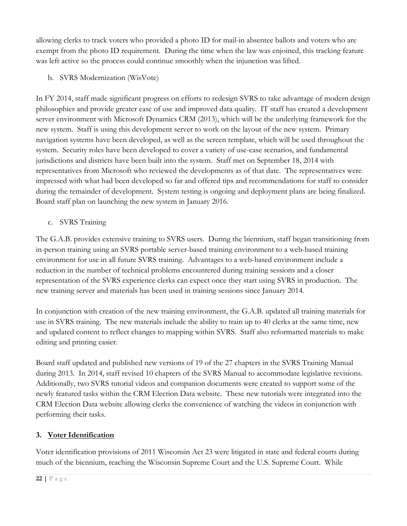allowing clerks to track voters who provided a photo ID for mail-in absentee ballots and voters who are exempt from the photo ID requirement. During the time when the law was enjoined, this tracking feature was left active so the process could continue smoothly when the injunction was lifted.

b. SVRS Modernization (WisVote)

In FY 2014, staff made significant progress on efforts to redesign SVRS to take advantage of modern design philosophies and provide greater ease of use and improved data quality. IT staff has created a development server environment with Microsoft Dynamics CRM (2013), which will be the underlying framework for the new system. Staff is using this development server to work on the layout of the new system. Primary navigation systems have been developed, as well as the screen template, which will be used throughout the system. Security roles have been developed to cover a variety of use-case scenarios, and fundamental jurisdictions and districts have been built into the system. Staff met on September 18, 2014 with representatives from Microsoft who reviewed the developments as of that date. The representatives were impressed with what had been developed so far and offered tips and recommendations for staff to consider during the remainder of development. System testing is ongoing and deployment plans are being finalized. Board staff plan on launching the new system in January 2016.

c. SVRS Training

The G.A.B. provides extensive training to SVRS users. During the biennium, staff began transitioning from in-person training using an SVRS portable server-based training environment to a web-based training environment for use in all future SVRS training. Advantages to a web-based environment include a reduction in the number of technical problems encountered during training sessions and a closer representation of the SVRS experience clerks can expect once they start using SVRS in production. The new training server and materials has been used in training sessions since January 2014.

In conjunction with creation of the new training environment, the G.A.B. updated all training materials for use in SVRS training. The new materials include the ability to train up to 40 clerks at the same time, new and updated content to reflect changes to mapping within SVRS. Staff also reformatted materials to make editing and printing easier.

Board staff updated and published new versions of 19 of the 27 chapters in the SVRS Training Manual during 2013. In 2014, staff revised 10 chapters of the SVRS Manual to accommodate legislative revisions. Additionally, two SVRS tutorial videos and companion documents were created to support some of the newly featured tasks within the CRM Election Data website. These new tutorials were integrated into the CRM Election Data website allowing clerks the convenience of watching the videos in conjunction with performing their tasks.

#### **3. Voter Identification**

Voter identification provisions of 2011 Wisconsin Act 23 were litigated in state and federal courts during much of the biennium, reaching the Wisconsin Supreme Court and the U.S. Supreme Court. While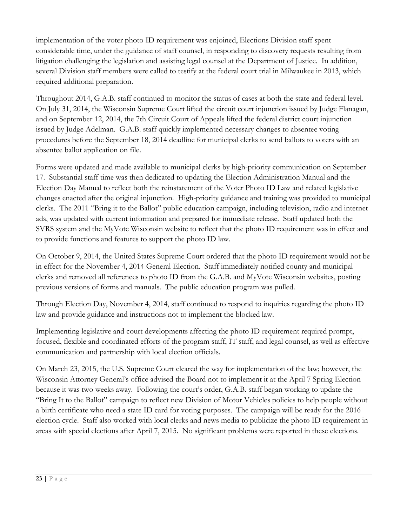implementation of the voter photo ID requirement was enjoined, Elections Division staff spent considerable time, under the guidance of staff counsel, in responding to discovery requests resulting from litigation challenging the legislation and assisting legal counsel at the Department of Justice. In addition, several Division staff members were called to testify at the federal court trial in Milwaukee in 2013, which required additional preparation.

Throughout 2014, G.A.B. staff continued to monitor the status of cases at both the state and federal level. On July 31, 2014, the Wisconsin Supreme Court lifted the circuit court injunction issued by Judge Flanagan, and on September 12, 2014, the 7th Circuit Court of Appeals lifted the federal district court injunction issued by Judge Adelman. G.A.B. staff quickly implemented necessary changes to absentee voting procedures before the September 18, 2014 deadline for municipal clerks to send ballots to voters with an absentee ballot application on file.

Forms were updated and made available to municipal clerks by high-priority communication on September 17. Substantial staff time was then dedicated to updating the Election Administration Manual and the Election Day Manual to reflect both the reinstatement of the Voter Photo ID Law and related legislative changes enacted after the original injunction. High-priority guidance and training was provided to municipal clerks. The 2011 "Bring it to the Ballot" public education campaign, including television, radio and internet ads, was updated with current information and prepared for immediate release. Staff updated both the SVRS system and the MyVote Wisconsin website to reflect that the photo ID requirement was in effect and to provide functions and features to support the photo ID law.

On October 9, 2014, the United States Supreme Court ordered that the photo ID requirement would not be in effect for the November 4, 2014 General Election. Staff immediately notified county and municipal clerks and removed all references to photo ID from the G.A.B. and MyVote Wisconsin websites, posting previous versions of forms and manuals. The public education program was pulled.

Through Election Day, November 4, 2014, staff continued to respond to inquiries regarding the photo ID law and provide guidance and instructions not to implement the blocked law.

Implementing legislative and court developments affecting the photo ID requirement required prompt, focused, flexible and coordinated efforts of the program staff, IT staff, and legal counsel, as well as effective communication and partnership with local election officials.

On March 23, 2015, the U.S. Supreme Court cleared the way for implementation of the law; however, the Wisconsin Attorney General's office advised the Board not to implement it at the April 7 Spring Election because it was two weeks away. Following the court's order, G.A.B. staff began working to update the "Bring It to the Ballot" campaign to reflect new Division of Motor Vehicles policies to help people without a birth certificate who need a state ID card for voting purposes. The campaign will be ready for the 2016 election cycle. Staff also worked with local clerks and news media to publicize the photo ID requirement in areas with special elections after April 7, 2015. No significant problems were reported in these elections.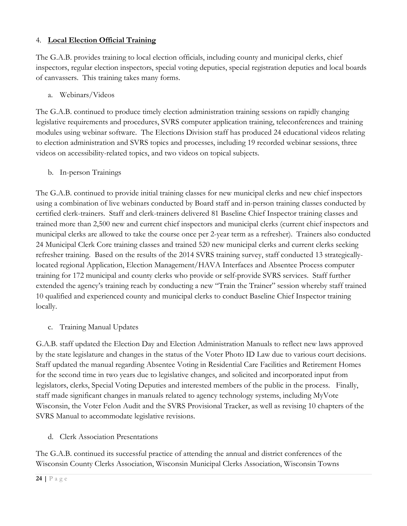#### 4. **Local Election Official Training**

The G.A.B. provides training to local election officials, including county and municipal clerks, chief inspectors, regular election inspectors, special voting deputies, special registration deputies and local boards of canvassers. This training takes many forms.

#### a. Webinars/Videos

The G.A.B. continued to produce timely election administration training sessions on rapidly changing legislative requirements and procedures, SVRS computer application training, teleconferences and training modules using webinar software. The Elections Division staff has produced 24 educational videos relating to election administration and SVRS topics and processes, including 19 recorded webinar sessions, three videos on accessibility-related topics, and two videos on topical subjects.

b. In-person Trainings

The G.A.B. continued to provide initial training classes for new municipal clerks and new chief inspectors using a combination of live webinars conducted by Board staff and in-person training classes conducted by certified clerk-trainers. Staff and clerk-trainers delivered 81 Baseline Chief Inspector training classes and trained more than 2,500 new and current chief inspectors and municipal clerks (current chief inspectors and municipal clerks are allowed to take the course once per 2-year term as a refresher). Trainers also conducted 24 Municipal Clerk Core training classes and trained 520 new municipal clerks and current clerks seeking refresher training. Based on the results of the 2014 SVRS training survey, staff conducted 13 strategicallylocated regional Application, Election Management/HAVA Interfaces and Absentee Process computer training for 172 municipal and county clerks who provide or self-provide SVRS services. Staff further extended the agency's training reach by conducting a new "Train the Trainer" session whereby staff trained 10 qualified and experienced county and municipal clerks to conduct Baseline Chief Inspector training locally.

c. Training Manual Updates

G.A.B. staff updated the Election Day and Election Administration Manuals to reflect new laws approved by the state legislature and changes in the status of the Voter Photo ID Law due to various court decisions. Staff updated the manual regarding Absentee Voting in Residential Care Facilities and Retirement Homes for the second time in two years due to legislative changes, and solicited and incorporated input from legislators, clerks, Special Voting Deputies and interested members of the public in the process. Finally, staff made significant changes in manuals related to agency technology systems, including MyVote Wisconsin, the Voter Felon Audit and the SVRS Provisional Tracker, as well as revising 10 chapters of the SVRS Manual to accommodate legislative revisions.

d. Clerk Association Presentations

The G.A.B. continued its successful practice of attending the annual and district conferences of the Wisconsin County Clerks Association, Wisconsin Municipal Clerks Association, Wisconsin Towns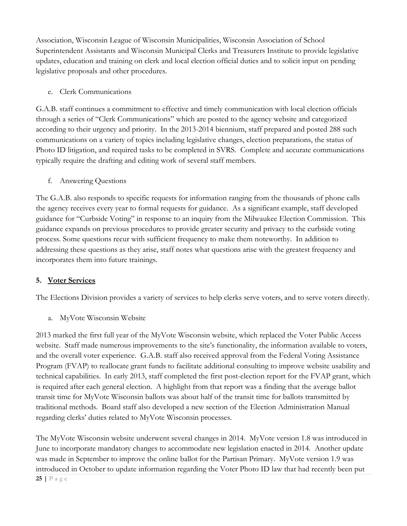Association, Wisconsin League of Wisconsin Municipalities, Wisconsin Association of School Superintendent Assistants and Wisconsin Municipal Clerks and Treasurers Institute to provide legislative updates, education and training on clerk and local election official duties and to solicit input on pending legislative proposals and other procedures.

e. Clerk Communications

G.A.B. staff continues a commitment to effective and timely communication with local election officials through a series of "Clerk Communications" which are posted to the agency website and categorized according to their urgency and priority. In the 2013-2014 biennium, staff prepared and posted 288 such communications on a variety of topics including legislative changes, election preparations, the status of Photo ID litigation, and required tasks to be completed in SVRS. Complete and accurate communications typically require the drafting and editing work of several staff members.

f. Answering Questions

The G.A.B. also responds to specific requests for information ranging from the thousands of phone calls the agency receives every year to formal requests for guidance. As a significant example, staff developed guidance for "Curbside Voting" in response to an inquiry from the Milwaukee Election Commission. This guidance expands on previous procedures to provide greater security and privacy to the curbside voting process. Some questions recur with sufficient frequency to make them noteworthy. In addition to addressing these questions as they arise, staff notes what questions arise with the greatest frequency and incorporates them into future trainings.

#### **5. Voter Services**

The Elections Division provides a variety of services to help clerks serve voters, and to serve voters directly.

a. MyVote Wisconsin Website

2013 marked the first full year of the MyVote Wisconsin website, which replaced the Voter Public Access website. Staff made numerous improvements to the site's functionality, the information available to voters, and the overall voter experience. G.A.B. staff also received approval from the Federal Voting Assistance Program (FVAP) to reallocate grant funds to facilitate additional consulting to improve website usability and technical capabilities. In early 2013, staff completed the first post-election report for the FVAP grant, which is required after each general election. A highlight from that report was a finding that the average ballot transit time for MyVote Wisconsin ballots was about half of the transit time for ballots transmitted by traditional methods. Board staff also developed a new section of the Election Administration Manual regarding clerks' duties related to MyVote Wisconsin processes.

The MyVote Wisconsin website underwent several changes in 2014. MyVote version 1.8 was introduced in June to incorporate mandatory changes to accommodate new legislation enacted in 2014. Another update was made in September to improve the online ballot for the Partisan Primary. MyVote version 1.9 was introduced in October to update information regarding the Voter Photo ID law that had recently been put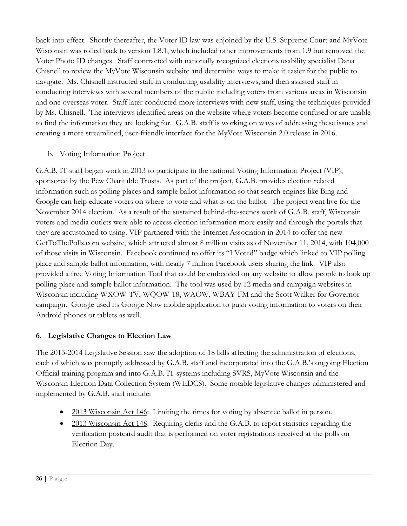back into effect. Shortly thereafter, the Voter ID law was enjoined by the U.S. Supreme Court and MyVote Wisconsin was rolled back to version 1.8.1, which included other improvements from 1.9 but removed the Voter Photo ID changes. Staff contracted with nationally recognized elections usability specialist Dana Chisnell to review the MyVote Wisconsin website and determine ways to make it easier for the public to navigate. Ms. Chisnell instructed staff in conducting usability interviews, and then assisted staff in conducting interviews with several members of the public including voters from various areas in Wisconsin and one overseas voter. Staff later conducted more interviews with new staff, using the techniques provided by Ms. Chisnell. The interviews identified areas on the website where voters become confused or are unable to find the information they are looking for. G.A.B. staff is working on ways of addressing these issues and creating a more streamlined, user-friendly interface for the MyVote Wisconsin 2.0 release in 2016.

b. Voting Information Project

G.A.B. IT staff began work in 2013 to participate in the national Voting Information Project (VIP), sponsored by the Pew Charitable Trusts. As part of the project, G.A.B. provides election related information such as polling places and sample ballot information so that search engines like Bing and Google can help educate voters on where to vote and what is on the ballot. The project went live for the November 2014 election. As a result of the sustained behind-the-scenes work of G.A.B. staff, Wisconsin voters and media outlets were able to access election information more easily and through the portals that they are accustomed to using. VIP partnered with the Internet Association in 2014 to offer the new GetToThePolls.com website, which attracted almost 8 million visits as of November 11, 2014, with 104,000 of those visits in Wisconsin. Facebook continued to offer its "I Voted" badge which linked to VIP polling place and sample ballot information, with nearly 7 million Facebook users sharing the link. VIP also provided a free Voting Information Tool that could be embedded on any website to allow people to look up polling place and sample ballot information. The tool was used by 12 media and campaign websites in Wisconsin including WXOW-TV, WQOW-18, WAOW, WBAY-FM and the Scott Walker for Governor campaign. Google used its Google Now mobile application to push voting information to voters on their Android phones or tablets as well.

#### **6. Legislative Changes to Election Law**

The 2013-2014 Legislative Session saw the adoption of 18 bills affecting the administration of elections, each of which was promptly addressed by G.A.B. staff and incorporated into the G.A.B.'s ongoing Election Official training program and into G.A.B. IT systems including SVRS, MyVote Wisconsin and the Wisconsin Election Data Collection System (WEDCS). Some notable legislative changes administered and implemented by G.A.B. staff include:

- 2013 Wisconsin Act 146: Limiting the times for voting by absentee ballot in person.
- 2013 Wisconsin Act 148: Requiring clerks and the G.A.B. to report statistics regarding the verification postcard audit that is performed on voter registrations received at the polls on Election Day.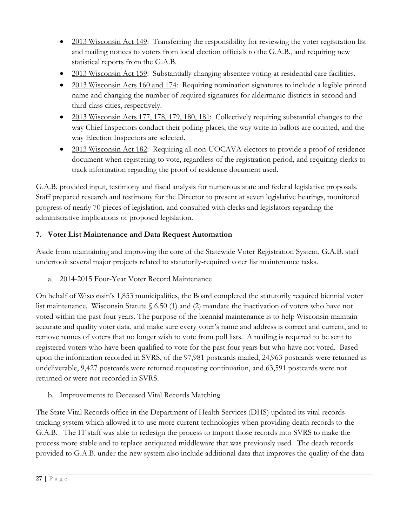- 2013 Wisconsin Act 149: Transferring the responsibility for reviewing the voter registration list and mailing notices to voters from local election officials to the G.A.B., and requiring new statistical reports from the G.A.B.
- 2013 Wisconsin Act 159: Substantially changing absentee voting at residential care facilities.
- 2013 Wisconsin Acts 160 and 174: Requiring nomination signatures to include a legible printed name and changing the number of required signatures for aldermanic districts in second and third class cities, respectively.
- 2013 Wisconsin Acts 177, 178, 179, 180, 181: Collectively requiring substantial changes to the way Chief Inspectors conduct their polling places, the way write-in ballots are counted, and the way Election Inspectors are selected.
- 2013 Wisconsin Act 182: Requiring all non-UOCAVA electors to provide a proof of residence document when registering to vote, regardless of the registration period, and requiring clerks to track information regarding the proof of residence document used.

G.A.B. provided input, testimony and fiscal analysis for numerous state and federal legislative proposals. Staff prepared research and testimony for the Director to present at seven legislative hearings, monitored progress of nearly 70 pieces of legislation, and consulted with clerks and legislators regarding the administrative implications of proposed legislation.

#### **7. Voter List Maintenance and Data Request Automation**

Aside from maintaining and improving the core of the Statewide Voter Registration System, G.A.B. staff undertook several major projects related to statutorily-required voter list maintenance tasks.

a. 2014-2015 Four-Year Voter Record Maintenance

On behalf of Wisconsin's 1,853 municipalities, the Board completed the statutorily required biennial voter list maintenance. Wisconsin Statute § 6.50 (1) and (2) mandate the inactivation of voters who have not voted within the past four years. The purpose of the biennial maintenance is to help Wisconsin maintain accurate and quality voter data, and make sure every voter's name and address is correct and current, and to remove names of voters that no longer wish to vote from poll lists. A mailing is required to be sent to registered voters who have been qualified to vote for the past four years but who have not voted. Based upon the information recorded in SVRS, of the 97,981 postcards mailed, 24,963 postcards were returned as undeliverable, 9,427 postcards were returned requesting continuation, and 63,591 postcards were not returned or were not recorded in SVRS.

b. Improvements to Deceased Vital Records Matching

The State Vital Records office in the Department of Health Services (DHS) updated its vital records tracking system which allowed it to use more current technologies when providing death records to the G.A.B. The IT staff was able to redesign the process to import those records into SVRS to make the process more stable and to replace antiquated middleware that was previously used. The death records provided to G.A.B. under the new system also include additional data that improves the quality of the data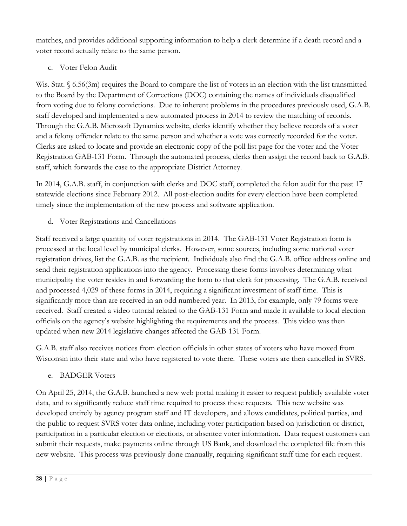matches, and provides additional supporting information to help a clerk determine if a death record and a voter record actually relate to the same person.

c. Voter Felon Audit

Wis. Stat. § 6.56(3m) requires the Board to compare the list of voters in an election with the list transmitted to the Board by the Department of Corrections (DOC) containing the names of individuals disqualified from voting due to felony convictions. Due to inherent problems in the procedures previously used, G.A.B. staff developed and implemented a new automated process in 2014 to review the matching of records. Through the G.A.B. Microsoft Dynamics website, clerks identify whether they believe records of a voter and a felony offender relate to the same person and whether a vote was correctly recorded for the voter. Clerks are asked to locate and provide an electronic copy of the poll list page for the voter and the Voter Registration GAB-131 Form. Through the automated process, clerks then assign the record back to G.A.B. staff, which forwards the case to the appropriate District Attorney.

In 2014, G.A.B. staff, in conjunction with clerks and DOC staff, completed the felon audit for the past 17 statewide elections since February 2012. All post-election audits for every election have been completed timely since the implementation of the new process and software application.

d. Voter Registrations and Cancellations

Staff received a large quantity of voter registrations in 2014. The GAB-131 Voter Registration form is processed at the local level by municipal clerks. However, some sources, including some national voter registration drives, list the G.A.B. as the recipient. Individuals also find the G.A.B. office address online and send their registration applications into the agency. Processing these forms involves determining what municipality the voter resides in and forwarding the form to that clerk for processing. The G.A.B. received and processed 4,029 of these forms in 2014, requiring a significant investment of staff time. This is significantly more than are received in an odd numbered year. In 2013, for example, only 79 forms were received. Staff created a video tutorial related to the GAB-131 Form and made it available to local election officials on the agency's website highlighting the requirements and the process. This video was then updated when new 2014 legislative changes affected the GAB-131 Form.

G.A.B. staff also receives notices from election officials in other states of voters who have moved from Wisconsin into their state and who have registered to vote there. These voters are then cancelled in SVRS.

e. BADGER Voters

On April 25, 2014, the G.A.B. launched a new web portal making it easier to request publicly available voter data, and to significantly reduce staff time required to process these requests. This new website was developed entirely by agency program staff and IT developers, and allows candidates, political parties, and the public to request SVRS voter data online, including voter participation based on jurisdiction or district, participation in a particular election or elections, or absentee voter information. Data request customers can submit their requests, make payments online through US Bank, and download the completed file from this new website. This process was previously done manually, requiring significant staff time for each request.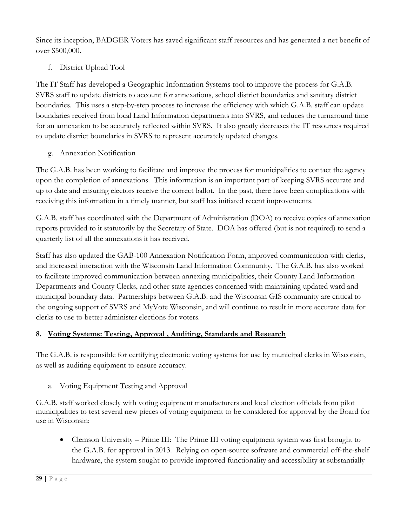Since its inception, BADGER Voters has saved significant staff resources and has generated a net benefit of over \$500,000.

#### f. District Upload Tool

The IT Staff has developed a Geographic Information Systems tool to improve the process for G.A.B. SVRS staff to update districts to account for annexations, school district boundaries and sanitary district boundaries. This uses a step-by-step process to increase the efficiency with which G.A.B. staff can update boundaries received from local Land Information departments into SVRS, and reduces the turnaround time for an annexation to be accurately reflected within SVRS. It also greatly decreases the IT resources required to update district boundaries in SVRS to represent accurately updated changes.

g. Annexation Notification

The G.A.B. has been working to facilitate and improve the process for municipalities to contact the agency upon the completion of annexations. This information is an important part of keeping SVRS accurate and up to date and ensuring electors receive the correct ballot. In the past, there have been complications with receiving this information in a timely manner, but staff has initiated recent improvements.

G.A.B. staff has coordinated with the Department of Administration (DOA) to receive copies of annexation reports provided to it statutorily by the Secretary of State. DOA has offered (but is not required) to send a quarterly list of all the annexations it has received.

Staff has also updated the GAB-100 Annexation Notification Form, improved communication with clerks, and increased interaction with the Wisconsin Land Information Community. The G.A.B. has also worked to facilitate improved communication between annexing municipalities, their County Land Information Departments and County Clerks, and other state agencies concerned with maintaining updated ward and municipal boundary data. Partnerships between G.A.B. and the Wisconsin GIS community are critical to the ongoing support of SVRS and MyVote Wisconsin, and will continue to result in more accurate data for clerks to use to better administer elections for voters.

#### **8. Voting Systems: Testing, Approval , Auditing, Standards and Research**

The G.A.B. is responsible for certifying electronic voting systems for use by municipal clerks in Wisconsin, as well as auditing equipment to ensure accuracy.

a. Voting Equipment Testing and Approval

G.A.B. staff worked closely with voting equipment manufacturers and local election officials from pilot municipalities to test several new pieces of voting equipment to be considered for approval by the Board for use in Wisconsin:

• Clemson University – Prime III: The Prime III voting equipment system was first brought to the G.A.B. for approval in 2013. Relying on open-source software and commercial off-the-shelf hardware, the system sought to provide improved functionality and accessibility at substantially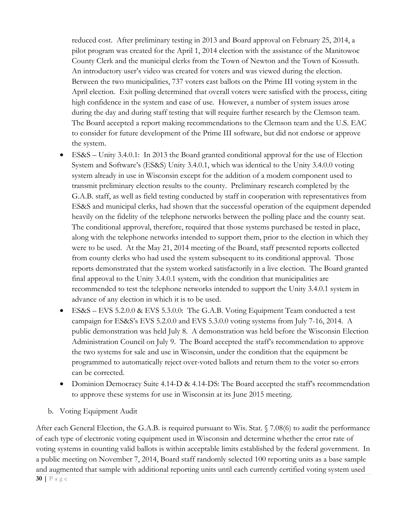reduced cost. After preliminary testing in 2013 and Board approval on February 25, 2014, a pilot program was created for the April 1, 2014 election with the assistance of the Manitowoc County Clerk and the municipal clerks from the Town of Newton and the Town of Kossuth. An introductory user's video was created for voters and was viewed during the election. Between the two municipalities, 737 voters cast ballots on the Prime III voting system in the April election. Exit polling determined that overall voters were satisfied with the process, citing high confidence in the system and ease of use. However, a number of system issues arose during the day and during staff testing that will require further research by the Clemson team. The Board accepted a report making recommendations to the Clemson team and the U.S. EAC to consider for future development of the Prime III software, but did not endorse or approve the system.

- ES&S Unity 3.4.0.1: In 2013 the Board granted conditional approval for the use of Election System and Software's (ES&S) Unity 3.4.0.1, which was identical to the Unity 3.4.0.0 voting system already in use in Wisconsin except for the addition of a modem component used to transmit preliminary election results to the county. Preliminary research completed by the G.A.B. staff, as well as field testing conducted by staff in cooperation with representatives from ES&S and municipal clerks, had shown that the successful operation of the equipment depended heavily on the fidelity of the telephone networks between the polling place and the county seat. The conditional approval, therefore, required that those systems purchased be tested in place, along with the telephone networks intended to support them, prior to the election in which they were to be used. At the May 21, 2014 meeting of the Board, staff presented reports collected from county clerks who had used the system subsequent to its conditional approval. Those reports demonstrated that the system worked satisfactorily in a live election. The Board granted final approval to the Unity 3.4.0.1 system, with the condition that municipalities are recommended to test the telephone networks intended to support the Unity 3.4.0.1 system in advance of any election in which it is to be used.
- ES&S EVS 5.2.0.0 & EVS 5.3.0.0: The G.A.B. Voting Equipment Team conducted a test campaign for ES&S's EVS 5.2.0.0 and EVS 5.3.0.0 voting systems from July 7-16, 2014. A public demonstration was held July 8. A demonstration was held before the Wisconsin Election Administration Council on July 9. The Board accepted the staff's recommendation to approve the two systems for sale and use in Wisconsin, under the condition that the equipment be programmed to automatically reject over-voted ballots and return them to the voter so errors can be corrected.
- Dominion Democracy Suite 4.14-D & 4.14-DS: The Board accepted the staff's recommendation to approve these systems for use in Wisconsin at its June 2015 meeting.
- b. Voting Equipment Audit

**30 |** Page After each General Election, the G.A.B. is required pursuant to Wis. Stat. § 7.08(6) to audit the performance of each type of electronic voting equipment used in Wisconsin and determine whether the error rate of voting systems in counting valid ballots is within acceptable limits established by the federal government. In a public meeting on November 7, 2014, Board staff randomly selected 100 reporting units as a base sample and augmented that sample with additional reporting units until each currently certified voting system used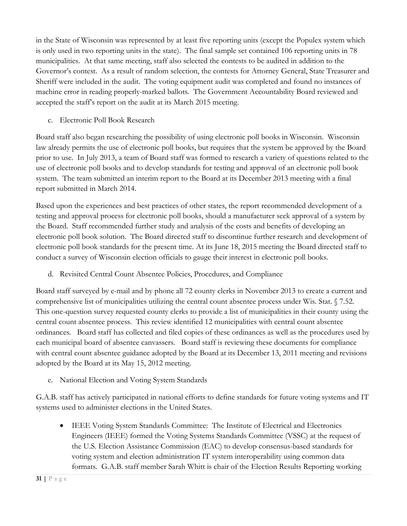in the State of Wisconsin was represented by at least five reporting units (except the Populex system which is only used in two reporting units in the state). The final sample set contained 106 reporting units in 78 municipalities. At that same meeting, staff also selected the contests to be audited in addition to the Governor's contest. As a result of random selection, the contests for Attorney General, State Treasurer and Sheriff were included in the audit. The voting equipment audit was completed and found no instances of machine error in reading properly-marked ballots. The Government Accountability Board reviewed and accepted the staff's report on the audit at its March 2015 meeting.

c. Electronic Poll Book Research

Board staff also began researching the possibility of using electronic poll books in Wisconsin. Wisconsin law already permits the use of electronic poll books, but requires that the system be approved by the Board prior to use. In July 2013, a team of Board staff was formed to research a variety of questions related to the use of electronic poll books and to develop standards for testing and approval of an electronic poll book system. The team submitted an interim report to the Board at its December 2013 meeting with a final report submitted in March 2014.

Based upon the experiences and best practices of other states, the report recommended development of a testing and approval process for electronic poll books, should a manufacturer seek approval of a system by the Board. Staff recommended further study and analysis of the costs and benefits of developing an electronic poll book solution. The Board directed staff to discontinue further research and development of electronic poll book standards for the present time. At its June 18, 2015 meeting the Board directed staff to conduct a survey of Wisconsin election officials to gauge their interest in electronic poll books.

d. Revisited Central Count Absentee Policies, Procedures, and Compliance

Board staff surveyed by e-mail and by phone all 72 county clerks in November 2013 to create a current and comprehensive list of municipalities utilizing the central count absentee process under Wis. Stat. § 7.52. This one-question survey requested county clerks to provide a list of municipalities in their county using the central count absentee process. This review identified 12 municipalities with central count absentee ordinances. Board staff has collected and filed copies of these ordinances as well as the procedures used by each municipal board of absentee canvassers. Board staff is reviewing these documents for compliance with central count absentee guidance adopted by the Board at its December 13, 2011 meeting and revisions adopted by the Board at its May 15, 2012 meeting.

e. National Election and Voting System Standards

G.A.B. staff has actively participated in national efforts to define standards for future voting systems and IT systems used to administer elections in the United States.

• IEEE Voting System Standards Committee: The Institute of Electrical and Electronics Engineers (IEEE) formed the Voting Systems Standards Committee (VSSC) at the request of the U.S. Election Assistance Commission (EAC) to develop consensus-based standards for voting system and election administration IT system interoperability using common data formats. G.A.B. staff member Sarah Whitt is chair of the Election Results Reporting working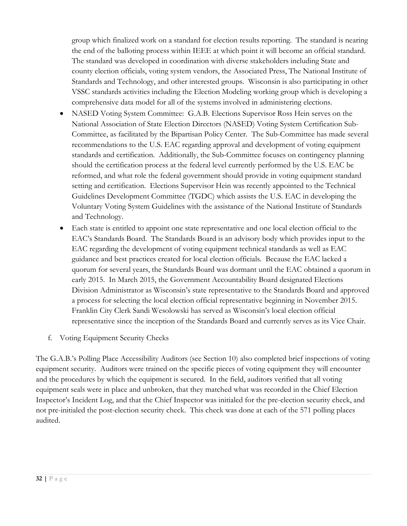group which finalized work on a standard for election results reporting. The standard is nearing the end of the balloting process within IEEE at which point it will become an official standard. The standard was developed in coordination with diverse stakeholders including State and county election officials, voting system vendors, the Associated Press, The National Institute of Standards and Technology, and other interested groups. Wisconsin is also participating in other VSSC standards activities including the Election Modeling working group which is developing a comprehensive data model for all of the systems involved in administering elections.

- NASED Voting System Committee: G.A.B. Elections Supervisor Ross Hein serves on the National Association of State Election Directors (NASED) Voting System Certification Sub-Committee, as facilitated by the Bipartisan Policy Center. The Sub-Committee has made several recommendations to the U.S. EAC regarding approval and development of voting equipment standards and certification. Additionally, the Sub-Committee focuses on contingency planning should the certification process at the federal level currently performed by the U.S. EAC be reformed, and what role the federal government should provide in voting equipment standard setting and certification. Elections Supervisor Hein was recently appointed to the Technical Guidelines Development Committee (TGDC) which assists the U.S. EAC in developing the Voluntary Voting System Guidelines with the assistance of the National Institute of Standards and Technology.
- Each state is entitled to appoint one state representative and one local election official to the EAC's Standards Board. The Standards Board is an advisory body which provides input to the EAC regarding the development of voting equipment technical standards as well as EAC guidance and best practices created for local election officials. Because the EAC lacked a quorum for several years, the Standards Board was dormant until the EAC obtained a quorum in early 2015. In March 2015, the Government Accountability Board designated Elections Division Administrator as Wisconsin's state representative to the Standards Board and approved a process for selecting the local election official representative beginning in November 2015. Franklin City Clerk Sandi Wesolowski has served as Wisconsin's local election official representative since the inception of the Standards Board and currently serves as its Vice Chair.
- f. Voting Equipment Security Checks

The G.A.B.'s Polling Place Accessibility Auditors (see Section 10) also completed brief inspections of voting equipment security. Auditors were trained on the specific pieces of voting equipment they will encounter and the procedures by which the equipment is secured. In the field, auditors verified that all voting equipment seals were in place and unbroken, that they matched what was recorded in the Chief Election Inspector's Incident Log, and that the Chief Inspector was initialed for the pre-election security check, and not pre-initialed the post-election security check. This check was done at each of the 571 polling places audited.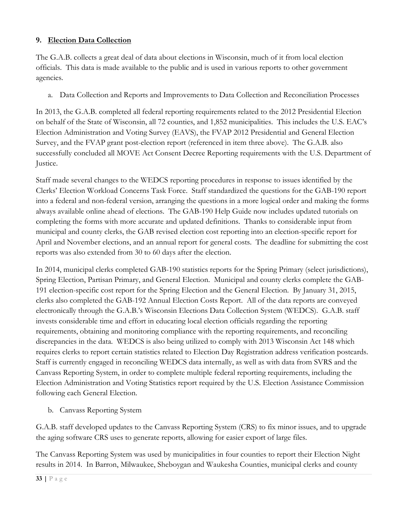#### **9. Election Data Collection**

The G.A.B. collects a great deal of data about elections in Wisconsin, much of it from local election officials. This data is made available to the public and is used in various reports to other government agencies.

a. Data Collection and Reports and Improvements to Data Collection and Reconciliation Processes

In 2013, the G.A.B. completed all federal reporting requirements related to the 2012 Presidential Election on behalf of the State of Wisconsin, all 72 counties, and 1,852 municipalities. This includes the U.S. EAC's Election Administration and Voting Survey (EAVS), the FVAP 2012 Presidential and General Election Survey, and the FVAP grant post-election report (referenced in item three above). The G.A.B. also successfully concluded all MOVE Act Consent Decree Reporting requirements with the U.S. Department of Justice.

Staff made several changes to the WEDCS reporting procedures in response to issues identified by the Clerks' Election Workload Concerns Task Force. Staff standardized the questions for the GAB-190 report into a federal and non-federal version, arranging the questions in a more logical order and making the forms always available online ahead of elections. The GAB-190 Help Guide now includes updated tutorials on completing the forms with more accurate and updated definitions. Thanks to considerable input from municipal and county clerks, the GAB revised election cost reporting into an election-specific report for April and November elections, and an annual report for general costs. The deadline for submitting the cost reports was also extended from 30 to 60 days after the election.

In 2014, municipal clerks completed GAB-190 statistics reports for the Spring Primary (select jurisdictions), Spring Election, Partisan Primary, and General Election. Municipal and county clerks complete the GAB-191 election-specific cost report for the Spring Election and the General Election. By January 31, 2015, clerks also completed the GAB-192 Annual Election Costs Report. All of the data reports are conveyed electronically through the G.A.B.'s Wisconsin Elections Data Collection System (WEDCS). G.A.B. staff invests considerable time and effort in educating local election officials regarding the reporting requirements, obtaining and monitoring compliance with the reporting requirements, and reconciling discrepancies in the data. WEDCS is also being utilized to comply with 2013 Wisconsin Act 148 which requires clerks to report certain statistics related to Election Day Registration address verification postcards. Staff is currently engaged in reconciling WEDCS data internally, as well as with data from SVRS and the Canvass Reporting System, in order to complete multiple federal reporting requirements, including the Election Administration and Voting Statistics report required by the U.S. Election Assistance Commission following each General Election.

b. Canvass Reporting System

G.A.B. staff developed updates to the Canvass Reporting System (CRS) to fix minor issues, and to upgrade the aging software CRS uses to generate reports, allowing for easier export of large files.

The Canvass Reporting System was used by municipalities in four counties to report their Election Night results in 2014. In Barron, Milwaukee, Sheboygan and Waukesha Counties, municipal clerks and county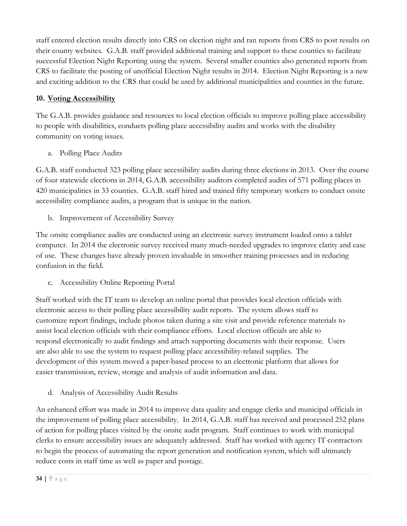staff entered election results directly into CRS on election night and ran reports from CRS to post results on their county websites. G.A.B. staff provided additional training and support to these counties to facilitate successful Election Night Reporting using the system. Several smaller counties also generated reports from CRS to facilitate the posting of unofficial Election Night results in 2014. Election Night Reporting is a new and exciting addition to the CRS that could be used by additional municipalities and counties in the future.

#### **10. Voting Accessibility**

The G.A.B. provides guidance and resources to local election officials to improve polling place accessibility to people with disabilities, conducts polling place accessibility audits and works with the disability community on voting issues.

a. Polling Place Audits

G.A.B. staff conducted 323 polling place accessibility audits during three elections in 2013. Over the course of four statewide elections in 2014, G.A.B. accessibility auditors completed audits of 571 polling places in 420 municipalities in 33 counties. G.A.B. staff hired and trained fifty temporary workers to conduct onsite accessibility compliance audits, a program that is unique in the nation.

b. Improvement of Accessibility Survey

The onsite compliance audits are conducted using an electronic survey instrument loaded onto a tablet computer. In 2014 the electronic survey received many much-needed upgrades to improve clarity and ease of use. These changes have already proven invaluable in smoother training processes and in reducing confusion in the field.

c. Accessibility Online Reporting Portal

Staff worked with the IT team to develop an online portal that provides local election officials with electronic access to their polling place accessibility audit reports. The system allows staff to customize report findings, include photos taken during a site visit and provide reference materials to assist local election officials with their compliance efforts. Local election officials are able to respond electronically to audit findings and attach supporting documents with their response. Users are also able to use the system to request polling place accessibility-related supplies. The development of this system moved a paper-based process to an electronic platform that allows for easier transmission, review, storage and analysis of audit information and data.

d. Analysis of Accessibility Audit Results

An enhanced effort was made in 2014 to improve data quality and engage clerks and municipal officials in the improvement of polling place accessibility. In 2014, G.A.B. staff has received and processed 252 plans of action for polling places visited by the onsite audit program. Staff continues to work with municipal clerks to ensure accessibility issues are adequately addressed. Staff has worked with agency IT contractors to begin the process of automating the report generation and notification system, which will ultimately reduce costs in staff time as well as paper and postage.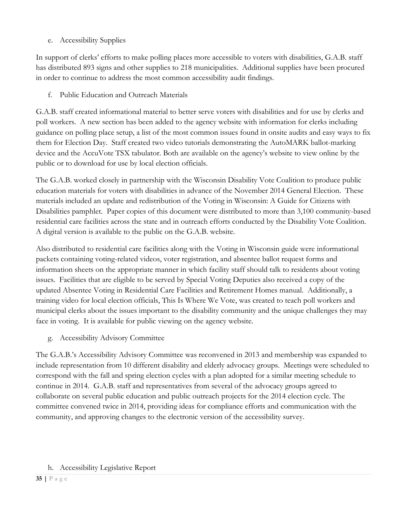e. Accessibility Supplies

In support of clerks' efforts to make polling places more accessible to voters with disabilities, G.A.B. staff has distributed 893 signs and other supplies to 218 municipalities. Additional supplies have been procured in order to continue to address the most common accessibility audit findings.

f. Public Education and Outreach Materials

G.A.B. staff created informational material to better serve voters with disabilities and for use by clerks and poll workers. A new section has been added to the agency website with information for clerks including guidance on polling place setup, a list of the most common issues found in onsite audits and easy ways to fix them for Election Day. Staff created two video tutorials demonstrating the AutoMARK ballot-marking device and the AccuVote TSX tabulator. Both are available on the agency's website to view online by the public or to download for use by local election officials.

The G.A.B. worked closely in partnership with the Wisconsin Disability Vote Coalition to produce public education materials for voters with disabilities in advance of the November 2014 General Election. These materials included an update and redistribution of the Voting in Wisconsin: A Guide for Citizens with Disabilities pamphlet. Paper copies of this document were distributed to more than 3,100 community-based residential care facilities across the state and in outreach efforts conducted by the Disability Vote Coalition. A digital version is available to the public on the G.A.B. website.

Also distributed to residential care facilities along with the Voting in Wisconsin guide were informational packets containing voting-related videos, voter registration, and absentee ballot request forms and information sheets on the appropriate manner in which facility staff should talk to residents about voting issues. Facilities that are eligible to be served by Special Voting Deputies also received a copy of the updated Absentee Voting in Residential Care Facilities and Retirement Homes manual. Additionally, a training video for local election officials, This Is Where We Vote, was created to teach poll workers and municipal clerks about the issues important to the disability community and the unique challenges they may face in voting. It is available for public viewing on the agency website.

g. Accessibility Advisory Committee

The G.A.B.'s Accessibility Advisory Committee was reconvened in 2013 and membership was expanded to include representation from 10 different disability and elderly advocacy groups. Meetings were scheduled to correspond with the fall and spring election cycles with a plan adopted for a similar meeting schedule to continue in 2014. G.A.B. staff and representatives from several of the advocacy groups agreed to collaborate on several public education and public outreach projects for the 2014 election cycle. The committee convened twice in 2014, providing ideas for compliance efforts and communication with the community, and approving changes to the electronic version of the accessibility survey.

#### h. Accessibility Legislative Report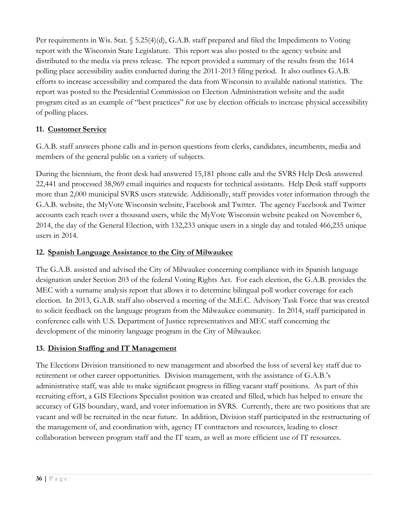Per requirements in Wis. Stat. § 5.25(4)(d), G.A.B. staff prepared and filed the Impediments to Voting report with the Wisconsin State Legislature. This report was also posted to the agency website and distributed to the media via press release. The report provided a summary of the results from the 1614 polling place accessibility audits conducted during the 2011-2013 filing period. It also outlines G.A.B. efforts to increase accessibility and compared the data from Wisconsin to available national statistics. The report was posted to the Presidential Commission on Election Administration website and the audit program cited as an example of "best practices" for use by election officials to increase physical accessibility of polling places.

#### **11. Customer Service**

G.A.B. staff answers phone calls and in-person questions from clerks, candidates, incumbents, media and members of the general public on a variety of subjects.

During the biennium, the front desk had answered 15,181 phone calls and the SVRS Help Desk answered 22,441 and processed 38,969 email inquiries and requests for technical assistants. Help Desk staff supports more than 2,000 municipal SVRS users statewide. Additionally, staff provides voter information through the G.A.B. website, the MyVote Wisconsin website, Facebook and Twitter. The agency Facebook and Twitter accounts each reach over a thousand users, while the MyVote Wisconsin website peaked on November 6, 2014, the day of the General Election, with 132,233 unique users in a single day and totaled 466,235 unique users in 2014.

#### **12. Spanish Language Assistance to the City of Milwaukee**

The G.A.B. assisted and advised the City of Milwaukee concerning compliance with its Spanish language designation under Section 203 of the federal Voting Rights Act. For each election, the G.A.B. provides the MEC with a surname analysis report that allows it to determine bilingual poll worker coverage for each election. In 2013, G.A.B. staff also observed a meeting of the M.E.C. Advisory Task Force that was created to solicit feedback on the language program from the Milwaukee community. In 2014, staff participated in conference calls with U.S. Department of Justice representatives and MEC staff concerning the development of the minority language program in the City of Milwaukee.

#### **13. Division Staffing and IT Management**

The Elections Division transitioned to new management and absorbed the loss of several key staff due to retirement or other career opportunities. Division management, with the assistance of G.A.B.'s administrative staff, was able to make significant progress in filling vacant staff positions. As part of this recruiting effort, a GIS Elections Specialist position was created and filled, which has helped to ensure the accuracy of GIS boundary, ward, and voter information in SVRS. Currently, there are two positions that are vacant and will be recruited in the near future. In addition, Division staff participated in the restructuring of the management of, and coordination with, agency IT contractors and resources, leading to closer collaboration between program staff and the IT team, as well as more efficient use of IT resources.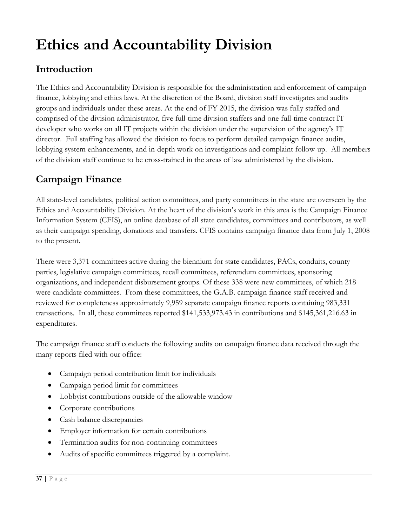# **Ethics and Accountability Division**

# **Introduction**

The Ethics and Accountability Division is responsible for the administration and enforcement of campaign finance, lobbying and ethics laws. At the discretion of the Board, division staff investigates and audits groups and individuals under these areas. At the end of FY 2015, the division was fully staffed and comprised of the division administrator, five full-time division staffers and one full-time contract IT developer who works on all IT projects within the division under the supervision of the agency's IT director. Full staffing has allowed the division to focus to perform detailed campaign finance audits, lobbying system enhancements, and in-depth work on investigations and complaint follow-up. All members of the division staff continue to be cross-trained in the areas of law administered by the division.

# **Campaign Finance**

All state-level candidates, political action committees, and party committees in the state are overseen by the Ethics and Accountability Division. At the heart of the division's work in this area is the Campaign Finance Information System (CFIS), an online database of all state candidates, committees and contributors, as well as their campaign spending, donations and transfers. CFIS contains campaign finance data from July 1, 2008 to the present.

There were 3,371 committees active during the biennium for state candidates, PACs, conduits, county parties, legislative campaign committees, recall committees, referendum committees, sponsoring organizations, and independent disbursement groups. Of these 338 were new committees, of which 218 were candidate committees. From these committees, the G.A.B. campaign finance staff received and reviewed for completeness approximately 9,959 separate campaign finance reports containing 983,331 transactions. In all, these committees reported \$141,533,973.43 in contributions and \$145,361,216.63 in expenditures.

The campaign finance staff conducts the following audits on campaign finance data received through the many reports filed with our office:

- Campaign period contribution limit for individuals
- Campaign period limit for committees
- Lobbyist contributions outside of the allowable window
- Corporate contributions
- Cash balance discrepancies
- Employer information for certain contributions
- Termination audits for non-continuing committees
- Audits of specific committees triggered by a complaint.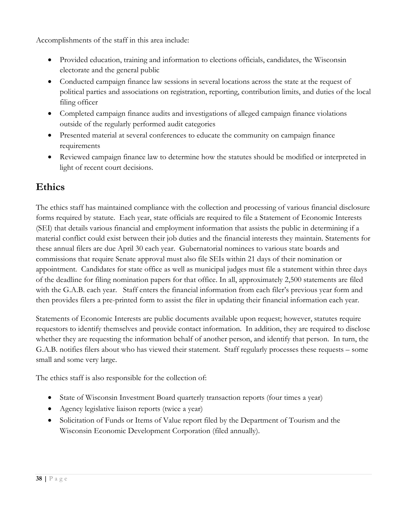Accomplishments of the staff in this area include:

- Provided education, training and information to elections officials, candidates, the Wisconsin electorate and the general public
- Conducted campaign finance law sessions in several locations across the state at the request of political parties and associations on registration, reporting, contribution limits, and duties of the local filing officer
- Completed campaign finance audits and investigations of alleged campaign finance violations outside of the regularly performed audit categories
- Presented material at several conferences to educate the community on campaign finance requirements
- Reviewed campaign finance law to determine how the statutes should be modified or interpreted in light of recent court decisions.

# **Ethics**

The ethics staff has maintained compliance with the collection and processing of various financial disclosure forms required by statute. Each year, state officials are required to file a Statement of Economic Interests (SEI) that details various financial and employment information that assists the public in determining if a material conflict could exist between their job duties and the financial interests they maintain. Statements for these annual filers are due April 30 each year. Gubernatorial nominees to various state boards and commissions that require Senate approval must also file SEIs within 21 days of their nomination or appointment. Candidates for state office as well as municipal judges must file a statement within three days of the deadline for filing nomination papers for that office. In all, approximately 2,500 statements are filed with the G.A.B. each year. Staff enters the financial information from each filer's previous year form and then provides filers a pre-printed form to assist the filer in updating their financial information each year.

Statements of Economic Interests are public documents available upon request; however, statutes require requestors to identify themselves and provide contact information. In addition, they are required to disclose whether they are requesting the information behalf of another person, and identify that person. In turn, the G.A.B. notifies filers about who has viewed their statement. Staff regularly processes these requests – some small and some very large.

The ethics staff is also responsible for the collection of:

- State of Wisconsin Investment Board quarterly transaction reports (four times a year)
- Agency legislative liaison reports (twice a year)
- Solicitation of Funds or Items of Value report filed by the Department of Tourism and the Wisconsin Economic Development Corporation (filed annually).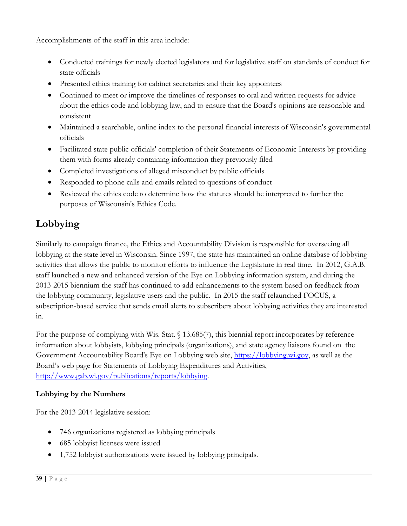Accomplishments of the staff in this area include:

- Conducted trainings for newly elected legislators and for legislative staff on standards of conduct for state officials
- Presented ethics training for cabinet secretaries and their key appointees
- Continued to meet or improve the timelines of responses to oral and written requests for advice about the ethics code and lobbying law, and to ensure that the Board's opinions are reasonable and consistent
- Maintained a searchable, online index to the personal financial interests of Wisconsin's governmental officials
- Facilitated state public officials' completion of their Statements of Economic Interests by providing them with forms already containing information they previously filed
- Completed investigations of alleged misconduct by public officials
- Responded to phone calls and emails related to questions of conduct
- Reviewed the ethics code to determine how the statutes should be interpreted to further the purposes of Wisconsin's Ethics Code.

# **Lobbying**

Similarly to campaign finance, the Ethics and Accountability Division is responsible for overseeing all lobbying at the state level in Wisconsin. Since 1997, the state has maintained an online database of lobbying activities that allows the public to monitor efforts to influence the Legislature in real time. In 2012, G.A.B. staff launched a new and enhanced version of the Eye on Lobbying information system, and during the 2013-2015 biennium the staff has continued to add enhancements to the system based on feedback from the lobbying community, legislative users and the public. In 2015 the staff relaunched FOCUS, a subscription-based service that sends email alerts to subscribers about lobbying activities they are interested in.

For the purpose of complying with Wis. Stat. § 13.685(7), this biennial report incorporates by reference information about lobbyists, lobbying principals (organizations), and state agency liaisons found on the Government Accountability Board's Eye on Lobbying web site, [https://lobbying.wi.gov,](https://lobbying.wi.gov/) as well as the Board's web page for Statements of Lobbying Expenditures and Activities, [http://www.gab.wi.gov/publications/reports/lobbying.](http://www.gab.wi.gov/publications/reports/lobbying)

#### **Lobbying by the Numbers**

For the 2013-2014 legislative session:

- 746 organizations registered as lobbying principals
- 685 lobbyist licenses were issued
- 1,752 lobbyist authorizations were issued by lobbying principals.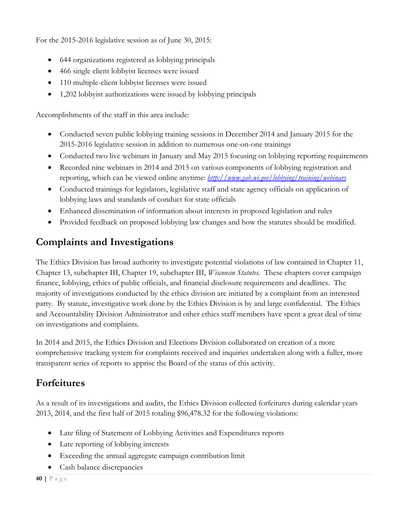For the 2015-2016 legislative session as of June 30, 2015:

- 644 organizations registered as lobbying principals
- 466 single client lobbyist licenses were issued
- 110 multiple-client lobbyist licenses were issued
- 1,202 lobbyist authorizations were issued by lobbying principals

Accomplishments of the staff in this area include:

- Conducted seven public lobbying training sessions in December 2014 and January 2015 for the 2015-2016 legislative session in addition to numerous one-on-one trainings
- Conducted two live webinars in January and May 2015 focusing on lobbying reporting requirements
- Recorded nine webinars in 2014 and 2015 on various components of lobbying registration and reporting, which can be viewed online anytime: *<http://www.gab.wi.gov/lobbying/training/webinars>*
- Conducted trainings for legislators, legislative staff and state agency officials on application of lobbying laws and standards of conduct for state officials
- Enhanced dissemination of information about interests in proposed legislation and rules
- Provided feedback on proposed lobbying law changes and how the statutes should be modified.

# **Complaints and Investigations**

The Ethics Division has broad authority to investigate potential violations of law contained in Chapter 11, Chapter 13, subchapter III, Chapter 19, subchapter III, *Wisconsin Statutes.* These chapters cover campaign finance, lobbying, ethics of public officials, and financial disclosure requirements and deadlines. The majority of investigations conducted by the ethics division are initiated by a complaint from an interested party. By statute, investigative work done by the Ethics Division is by and large confidential. The Ethics and Accountability Division Administrator and other ethics staff members have spent a great deal of time on investigations and complaints.

In 2014 and 2015, the Ethics Division and Elections Division collaborated on creation of a more comprehensive tracking system for complaints received and inquiries undertaken along with a fuller, more transparent series of reports to apprise the Board of the status of this activity.

# **Forfeitures**

As a result of its investigations and audits, the Ethics Division collected forfeitures during calendar years 2013, 2014, and the first half of 2015 totaling \$96,478.32 for the following violations:

- Late filing of Statement of Lobbying Activities and Expenditures reports
- Late reporting of lobbying interests
- Exceeding the annual aggregate campaign contribution limit
- Cash balance discrepancies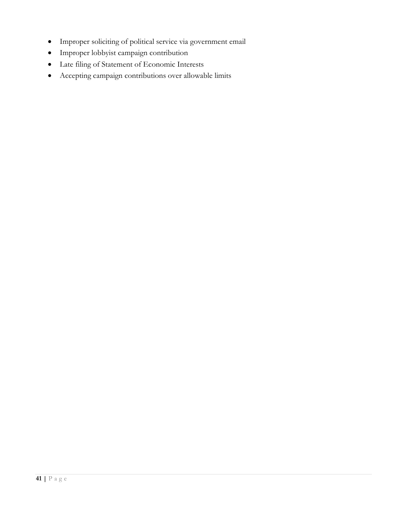- Improper soliciting of political service via government email
- Improper lobbyist campaign contribution
- Late filing of Statement of Economic Interests
- Accepting campaign contributions over allowable limits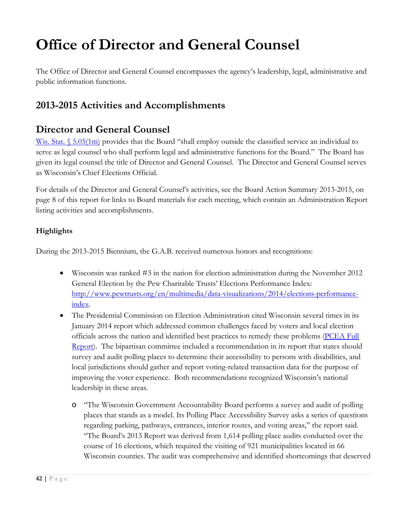# **Office of Director and General Counsel**

The Office of Director and General Counsel encompasses the agency's leadership, legal, administrative and public information functions.

# **2013-2015 Activities and Accomplishments**

## **Director and General Counsel**

Wis. Stat. [§ 5.05\(1m\)](http://docs.legis.wi.gov/statutes/statutes/5/I/05/1m) provides that the Board "shall employ outside the classified service an individual to serve as legal counsel who shall perform legal and administrative functions for the Board." The Board has given its legal counsel the title of Director and General Counsel. The Director and General Counsel serves as Wisconsin's Chief Elections Official.

For details of the Director and General Counsel's activities, see the Board Action Summary 2013-2015, on page 8 of this report for links to Board materials for each meeting, which contain an Administration Report listing activities and accomplishments.

#### **Highlights**

During the 2013-2015 Biennium, the G.A.B. received numerous honors and recognitions:

- Wisconsin was ranked #3 in the nation for election administration during the November 2012 General Election by the Pew Charitable Trusts' Elections Performance Index: [http://www.pewtrusts.org/en/multimedia/data-visualizations/2014/elections-performance](http://www.pewtrusts.org/en/multimedia/data-visualizations/2014/elections-performance-index)[index.](http://www.pewtrusts.org/en/multimedia/data-visualizations/2014/elections-performance-index)
- The Presidential Commission on Election Administration cited Wisconsin several times in its January 2014 report which addressed common challenges faced by voters and local election officials across the nation and identified best practices to remedy these problems [\(PCEA Full](http://www.supportthevoter.gov/files/2014/01/Amer-Voting-Exper-final-draft-01-09-14-508.pdf)  [Report\)](http://www.supportthevoter.gov/files/2014/01/Amer-Voting-Exper-final-draft-01-09-14-508.pdf). The bipartisan committee included a recommendation in its report that states should survey and audit polling places to determine their accessibility to persons with disabilities, and local jurisdictions should gather and report voting-related transaction data for the purpose of improving the voter experience. Both recommendations recognized Wisconsin's national leadership in these areas.
	- o "The Wisconsin Government Accountability Board performs a survey and audit of polling places that stands as a model. Its Polling Place Accessibility Survey asks a series of questions regarding parking, pathways, entrances, interior routes, and voting areas," the report said. "The Board's 2013 Report was derived from 1,614 polling place audits conducted over the course of 16 elections, which required the visiting of 921 municipalities located in 66 Wisconsin counties. The audit was comprehensive and identified shortcomings that deserved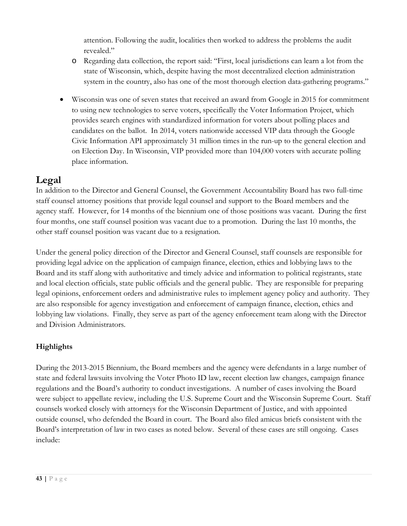attention. Following the audit, localities then worked to address the problems the audit revealed."

- o Regarding data collection, the report said: "First, local jurisdictions can learn a lot from the state of Wisconsin, which, despite having the most decentralized election administration system in the country, also has one of the most thorough election data-gathering programs."
- Wisconsin was one of seven states that received an award from Google in 2015 for commitment to using new technologies to serve voters, specifically the Voter Information Project, which provides search engines with standardized information for voters about polling places and candidates on the ballot. In 2014, voters nationwide accessed VIP data through the Google Civic Information API approximately 31 million times in the run-up to the general election and on Election Day. In Wisconsin, VIP provided more than 104,000 voters with accurate polling place information.

## **Legal**

In addition to the Director and General Counsel, the Government Accountability Board has two full-time staff counsel attorney positions that provide legal counsel and support to the Board members and the agency staff. However, for 14 months of the biennium one of those positions was vacant. During the first four months, one staff counsel position was vacant due to a promotion. During the last 10 months, the other staff counsel position was vacant due to a resignation.

Under the general policy direction of the Director and General Counsel, staff counsels are responsible for providing legal advice on the application of campaign finance, election, ethics and lobbying laws to the Board and its staff along with authoritative and timely advice and information to political registrants, state and local election officials, state public officials and the general public. They are responsible for preparing legal opinions, enforcement orders and administrative rules to implement agency policy and authority. They are also responsible for agency investigation and enforcement of campaign finance, election, ethics and lobbying law violations. Finally, they serve as part of the agency enforcement team along with the Director and Division Administrators.

#### **Highlights**

During the 2013-2015 Biennium, the Board members and the agency were defendants in a large number of state and federal lawsuits involving the Voter Photo ID law, recent election law changes, campaign finance regulations and the Board's authority to conduct investigations. A number of cases involving the Board were subject to appellate review, including the U.S. Supreme Court and the Wisconsin Supreme Court. Staff counsels worked closely with attorneys for the Wisconsin Department of Justice, and with appointed outside counsel, who defended the Board in court. The Board also filed amicus briefs consistent with the Board's interpretation of law in two cases as noted below. Several of these cases are still ongoing. Cases include: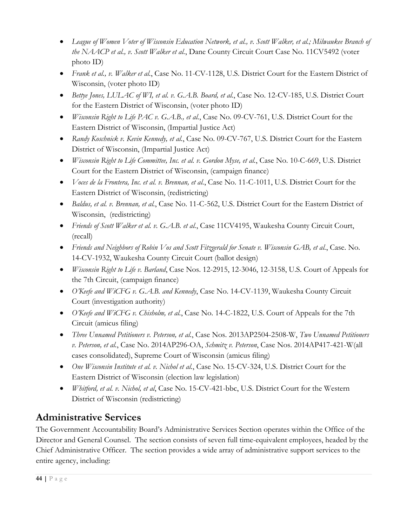- *League of Women Voter of Wisconsin Education Network, et al., v. Scott Walker, et al.; Milwaukee Branch of the NAACP et al., v. Scott Walker et al.*, Dane County Circuit Court Case No. 11CV5492 (voter photo ID)
- *Frank et al., v. Walker et al.*, Case No. 11-CV-1128, U.S. District Court for the Eastern District of Wisconsin, (voter photo ID)
- *Bettye Jones, LULAC of WI, et al. v. G.A.B. Board, et al.*, Case No. 12-CV-185, U.S. District Court for the Eastern District of Wisconsin, (voter photo ID)
- *Wisconsin Right to Life PAC v. G.A.B., et al.*, Case No. 09-CV-761, U.S. District Court for the Eastern District of Wisconsin, (Impartial Justice Act)
- *Randy Koschnick v. Kevin Kennedy, et al.*, Case No. 09-CV-767, U.S. District Court for the Eastern District of Wisconsin, (Impartial Justice Act)
- *Wisconsin Right to Life Committee, Inc. et al. v. Gordon Myse, et al.*, Case No. 10-C-669, U.S. District Court for the Eastern District of Wisconsin, (campaign finance)
- *Voces de la Frontera, Inc. et al. v. Brennan, et al.*, Case No. 11-C-1011, U.S. District Court for the Eastern District of Wisconsin, (redistricting)
- *Baldus, et al. v. Brennan, et al.*, Case No. 11-C-562, U.S. District Court for the Eastern District of Wisconsin, (redistricting)
- *Friends of Scott Walker et al. v. G.A.B. et al.*, Case 11CV4195, Waukesha County Circuit Court, (recall)
- *Friends and Neighbors of Robin Vos and Scott Fitzgerald for Senate v. Wisconsin GAB, et al.*, Case. No. 14-CV-1932, Waukesha County Circuit Court (ballot design)
- *Wisconsin Right to Life v. Barland*, Case Nos. 12-2915, 12-3046, 12-3158, U.S. Court of Appeals for the 7th Circuit, (campaign finance)
- *O'Keefe and WiCFG v. G.A.B. and Kennedy*, Case No. 14-CV-1139, Waukesha County Circuit Court (investigation authority)
- *O'Keefe and WiCFG v. Chisholm, et al.*, Case No. 14-C-1822, U.S. Court of Appeals for the 7th Circuit (amicus filing)
- *Three Unnamed Petitioners v. Peterson, et al.*, Case Nos. 2013AP2504-2508-W, *Two Unnamed Petitioners v. Peterson, et al.*, Case No. 2014AP296-OA, *Schmitz v. Peterson*, Case Nos. 2014AP417-421-W(all cases consolidated), Supreme Court of Wisconsin (amicus filing)
- *One Wisconsin Institute et al. v. Nichol et al.*, Case No. 15-CV-324, U.S. District Court for the Eastern District of Wisconsin (election law legislation)
- *Whitford, et al. v. Nichol, et al*, Case No. 15-CV-421-bbc, U.S. District Court for the Western District of Wisconsin (redistricting)

# **Administrative Services**

The Government Accountability Board's Administrative Services Section operates within the Office of the Director and General Counsel. The section consists of seven full time-equivalent employees, headed by the Chief Administrative Officer. The section provides a wide array of administrative support services to the entire agency, including: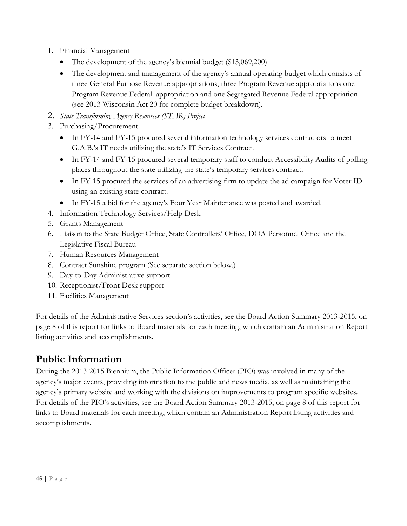- 1. Financial Management
	- The development of the agency's biennial budget (\$13,069,200)
	- The development and management of the agency's annual operating budget which consists of three General Purpose Revenue appropriations, three Program Revenue appropriations one Program Revenue Federal appropriation and one Segregated Revenue Federal appropriation (see 2013 Wisconsin Act 20 for complete budget breakdown).
- 2. *State Transforming Agency Resources (STAR) Project*
- 3. Purchasing/Procurement
	- In FY-14 and FY-15 procured several information technology services contractors to meet G.A.B.'s IT needs utilizing the state's IT Services Contract.
	- In FY-14 and FY-15 procured several temporary staff to conduct Accessibility Audits of polling places throughout the state utilizing the state's temporary services contract.
	- In FY-15 procured the services of an advertising firm to update the ad campaign for Voter ID using an existing state contract.
	- In FY-15 a bid for the agency's Four Year Maintenance was posted and awarded.
- 4. Information Technology Services/Help Desk
- 5. Grants Management
- 6. Liaison to the State Budget Office, State Controllers' Office, DOA Personnel Office and the Legislative Fiscal Bureau
- 7. Human Resources Management
- 8. Contract Sunshine program (See separate section below.)
- 9. Day-to-Day Administrative support
- 10. Receptionist/Front Desk support
- 11. Facilities Management

For details of the Administrative Services section's activities, see the Board Action Summary 2013-2015, on page 8 of this report for links to Board materials for each meeting, which contain an Administration Report listing activities and accomplishments.

# **Public Information**

During the 2013-2015 Biennium, the Public Information Officer (PIO) was involved in many of the agency's major events, providing information to the public and news media, as well as maintaining the agency's primary website and working with the divisions on improvements to program specific websites. For details of the PIO's activities, see the Board Action Summary 2013-2015, on page 8 of this report for links to Board materials for each meeting, which contain an Administration Report listing activities and accomplishments.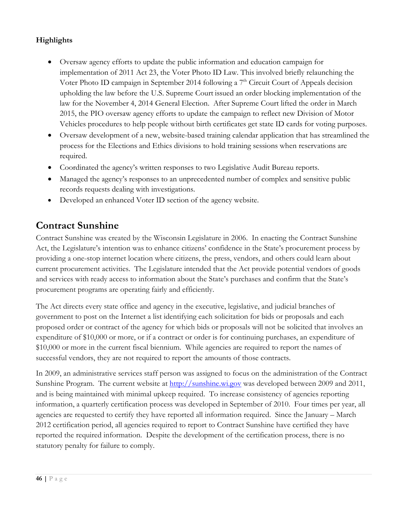#### **Highlights**

- Oversaw agency efforts to update the public information and education campaign for implementation of 2011 Act 23, the Voter Photo ID Law. This involved briefly relaunching the Voter Photo ID campaign in September 2014 following a  $7<sup>th</sup>$  Circuit Court of Appeals decision upholding the law before the U.S. Supreme Court issued an order blocking implementation of the law for the November 4, 2014 General Election. After Supreme Court lifted the order in March 2015, the PIO oversaw agency efforts to update the campaign to reflect new Division of Motor Vehicles procedures to help people without birth certificates get state ID cards for voting purposes.
- Oversaw development of a new, website-based training calendar application that has streamlined the process for the Elections and Ethics divisions to hold training sessions when reservations are required.
- Coordinated the agency's written responses to two Legislative Audit Bureau reports.
- Managed the agency's responses to an unprecedented number of complex and sensitive public records requests dealing with investigations.
- Developed an enhanced Voter ID section of the agency website.

# **Contract Sunshine**

Contract Sunshine was created by the Wisconsin Legislature in 2006. In enacting the Contract Sunshine Act, the Legislature's intention was to enhance citizens' confidence in the State's procurement process by providing a one-stop internet location where citizens, the press, vendors, and others could learn about current procurement activities. The Legislature intended that the Act provide potential vendors of goods and services with ready access to information about the State's purchases and confirm that the State's procurement programs are operating fairly and efficiently.

The Act directs every state office and agency in the executive, legislative, and judicial branches of government to post on the Internet a list identifying each solicitation for bids or proposals and each proposed order or contract of the agency for which bids or proposals will not be solicited that involves an expenditure of \$10,000 or more, or if a contract or order is for continuing purchases, an expenditure of \$10,000 or more in the current fiscal biennium. While agencies are required to report the names of successful vendors, they are not required to report the amounts of those contracts.

In 2009, an administrative services staff person was assigned to focus on the administration of the Contract Sunshine Program. The current website at [http://sunshine.wi.gov](http://sunshine.wi.gov/) was developed between 2009 and 2011, and is being maintained with minimal upkeep required. To increase consistency of agencies reporting information, a quarterly certification process was developed in September of 2010. Four times per year, all agencies are requested to certify they have reported all information required. Since the January – March 2012 certification period, all agencies required to report to Contract Sunshine have certified they have reported the required information. Despite the development of the certification process, there is no statutory penalty for failure to comply.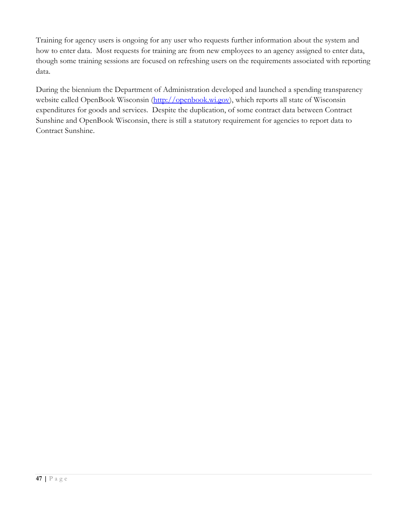Training for agency users is ongoing for any user who requests further information about the system and how to enter data. Most requests for training are from new employees to an agency assigned to enter data, though some training sessions are focused on refreshing users on the requirements associated with reporting data.

During the biennium the Department of Administration developed and launched a spending transparency website called OpenBook Wisconsin [\(http://openbook.wi.gov\)](http://openbook.wi.gov/), which reports all state of Wisconsin expenditures for goods and services. Despite the duplication, of some contract data between Contract Sunshine and OpenBook Wisconsin, there is still a statutory requirement for agencies to report data to Contract Sunshine.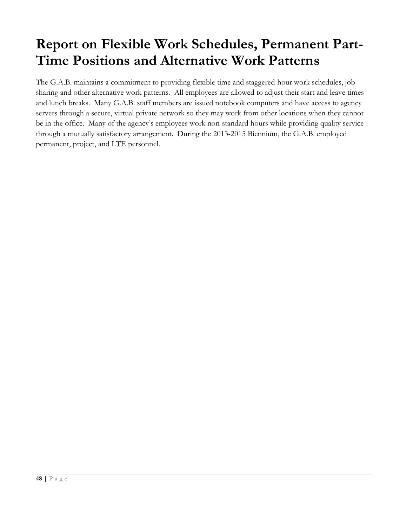# **Report on Flexible Work Schedules, Permanent Part-Time Positions and Alternative Work Patterns**

The G.A.B. maintains a commitment to providing flexible time and staggered-hour work schedules, job sharing and other alternative work patterns. All employees are allowed to adjust their start and leave times and lunch breaks. Many G.A.B. staff members are issued notebook computers and have access to agency servers through a secure, virtual private network so they may work from other locations when they cannot be in the office. Many of the agency's employees work non-standard hours while providing quality service through a mutually satisfactory arrangement. During the 2013-2015 Biennium, the G.A.B. employed permanent, project, and LTE personnel.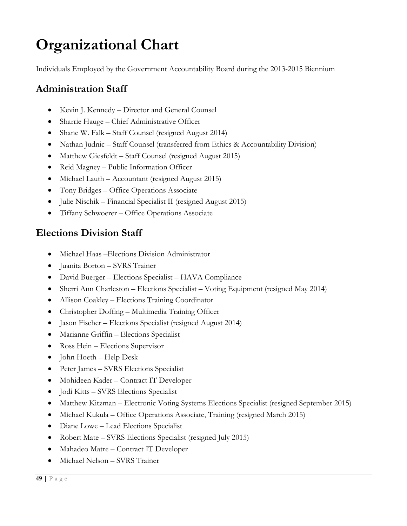# **Organizational Chart**

Individuals Employed by the Government Accountability Board during the 2013-2015 Biennium

## **Administration Staff**

- Kevin J. Kennedy Director and General Counsel
- Sharrie Hauge Chief Administrative Officer
- Shane W. Falk Staff Counsel (resigned August 2014)
- Nathan Judnic Staff Counsel (transferred from Ethics & Accountability Division)
- Matthew Giesfeldt Staff Counsel (resigned August 2015)
- Reid Magney Public Information Officer
- Michael Lauth Accountant (resigned August 2015)
- Tony Bridges Office Operations Associate
- Julie Nischik Financial Specialist II (resigned August 2015)
- Tiffany Schwoerer Office Operations Associate

## **Elections Division Staff**

- Michael Haas Elections Division Administrator
- Juanita Borton SVRS Trainer
- David Buerger Elections Specialist HAVA Compliance
- Sherri Ann Charleston Elections Specialist Voting Equipment (resigned May 2014)
- Allison Coakley Elections Training Coordinator
- Christopher Doffing Multimedia Training Officer
- Jason Fischer Elections Specialist (resigned August 2014)
- Marianne Griffin Elections Specialist
- Ross Hein Elections Supervisor
- John Hoeth Help Desk
- Peter James SVRS Elections Specialist
- Mohideen Kader Contract IT Developer
- Jodi Kitts SVRS Elections Specialist
- Matthew Kitzman Electronic Voting Systems Elections Specialist (resigned September 2015)
- Michael Kukula Office Operations Associate, Training (resigned March 2015)
- Diane Lowe Lead Elections Specialist
- Robert Mate SVRS Elections Specialist (resigned July 2015)
- Mahadeo Matre Contract IT Developer
- Michael Nelson SVRS Trainer